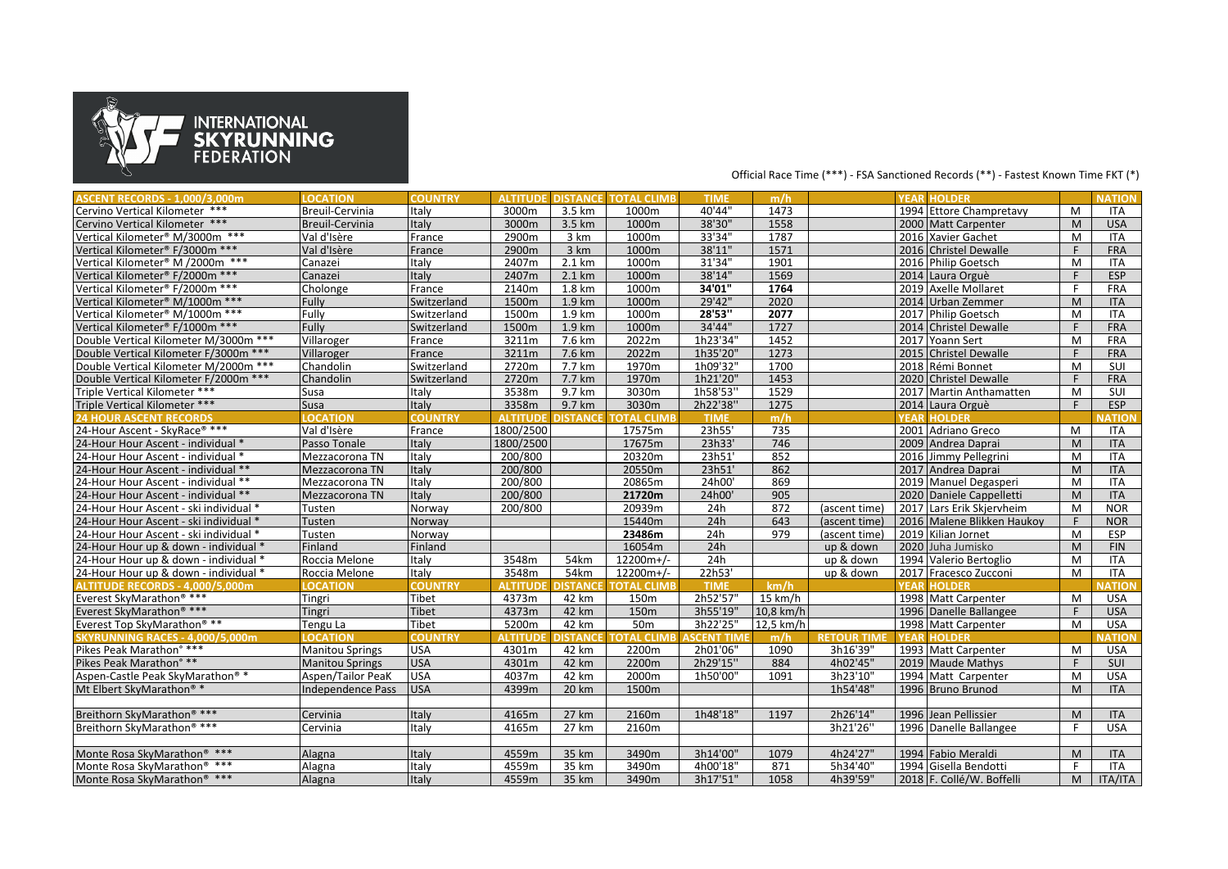

## Official Race Time  $(***)$  - FSA Sanctioned Records  $(**)$  - Fastest Known Time FKT  $(*)$

| <b>ASCENT RECORDS - 1.000/3.000m</b>        | <b>LOCATION</b>        | <b>COUNTRY</b> |                 |                 | <b>ALTITUDE DISTANCE TOTAL CLIMB</b> | <b>TIME</b>       | m/h       |                    | <b>YEAR HOLDER</b>         |    | <b>NATION</b>  |
|---------------------------------------------|------------------------|----------------|-----------------|-----------------|--------------------------------------|-------------------|-----------|--------------------|----------------------------|----|----------------|
| Cervino Vertical Kilometer ***              | <b>Breuil-Cervinia</b> | Italy          | 3000m           | 3.5 km          | 1000m                                | 40'44"            | 1473      |                    | 1994 Ettore Champretavy    | M  | <b>ITA</b>     |
| Cervino Vertical Kilometer ***              | <b>Breuil-Cervinia</b> | Italy          | 3000m           | 3.5 km          | 1000m                                | 38'30"            | 1558      |                    | 2000 Matt Carpenter        | M  | <b>USA</b>     |
| Vertical Kilometer <sup>®</sup> M/3000m *** | Val d'Isère            | France         | 2900m           | 3 km            | 1000m                                | 33'34"            | 1787      |                    | 2016 Xavier Gachet         | M  | <b>ITA</b>     |
| Vertical Kilometer® F/3000m ***             | Val d'Isère            | France         | 2900m           | 3 km            | 1000m                                | 38'11"            | 1571      |                    | 2016 Christel Dewalle      | F. | <b>FRA</b>     |
| Vertical Kilometer® M /2000m ***            | Canazei                | Italy          | 2407m           | 2.1 km          | 1000m                                | 31'34"            | 1901      |                    | 2016 Philip Goetsch        | M  | <b>ITA</b>     |
| Vertical Kilometer® F/2000m ***             | Canazei                | Italy          | 2407m           | 2.1 km          | 1000m                                | 38'14"            | 1569      |                    | 2014 Laura Orguè           | F. | <b>ESP</b>     |
| Vertical Kilometer® F/2000m ***             | Cholonge               | France         | 2140m           | 1.8 km          | 1000m                                | 34'01"            | 1764      |                    | 2019 Axelle Mollaret       | F  | FRA            |
| Vertical Kilometer <sup>®</sup> M/1000m *** | Fully                  | Switzerland    | 1500m           | 1.9 km          | 1000m                                | 29'42"            | 2020      |                    | 2014 Urban Zemmer          | M  | <b>ITA</b>     |
| Vertical Kilometer® M/1000m ***             | Fully                  | Switzerland    | 1500m           | 1.9 km          | 1000m                                | 28'53"            | 2077      |                    | 2017 Philip Goetsch        | M  | <b>ITA</b>     |
| Vertical Kilometer® F/1000m ***             | Fully                  | Switzerland    | 1500m           | 1.9 km          | 1000m                                | 34'44"            | 1727      |                    | 2014 Christel Dewalle      | F. | <b>FRA</b>     |
| Double Vertical Kilometer M/3000m ***       | Villaroger             | France         | 3211m           | 7.6 km          | 2022m                                | 1h23'34"          | 1452      |                    | 2017 Yoann Sert            | M  | <b>FRA</b>     |
| Double Vertical Kilometer F/3000m ***       | Villaroger             | France         | 3211m           | 7.6 km          | 2022m                                | 1h35'20"          | 1273      |                    | 2015 Christel Dewalle      | F. | <b>FRA</b>     |
| Double Vertical Kilometer M/2000m ***       | Chandolin              | Switzerland    | 2720m           | 7.7 km          | 1970m                                | 1h09'32"          | 1700      |                    | 2018 Rémi Bonnet           | M  | SUI            |
| Double Vertical Kilometer F/2000m ***       | Chandolin              | Switzerland    | 2720m           | 7.7 km          | 1970m                                | 1h21'20"          | 1453      |                    | 2020 Christel Dewalle      | F. | <b>FRA</b>     |
| Triple Vertical Kilometer ***               | Susa                   | Italy          | 3538m           | 9.7 km          | 3030m                                | 1h58'53"          | 1529      |                    | 2017 Martin Anthamatten    | M  | SUI            |
| Triple Vertical Kilometer ***               | Susa                   | Italy          | 3358m           | 9.7 km          | 3030m                                | 2h22'38"          | 1275      |                    | 2014 Laura Orguè           | F. | ESP            |
| <b>24 HOUR ASCENT RECORDS</b>               | <b>LOCATION</b>        | <b>COUNTRY</b> | <b>ALTITUDE</b> | <b>DISTANCE</b> | <b>TOTAL CLIME</b>                   | <b>TIME</b>       | m/h       |                    | <b>YEAR HOLDER</b>         |    | <b>NATION</b>  |
| 24-Hour Ascent - SkyRace® ***               | Val d'Isère            | France         | 1800/2500       |                 | 17575m                               | 23h55'            | 735       |                    | 2001 Adriano Greco         | M  | <b>ITA</b>     |
| 24-Hour Hour Ascent - individual *          | Passo Tonale           | Italy          | 1800/2500       |                 | 17675m                               | 23h33'            | 746       |                    | 2009 Andrea Daprai         | M  | <b>ITA</b>     |
| 24-Hour Hour Ascent - individual *          | Mezzacorona TN         | Italy          | 200/800         |                 | 20320m                               | 23h51'            | 852       |                    | 2016 Jimmy Pellegrini      | M  | <b>ITA</b>     |
| 24-Hour Hour Ascent - individual **         | Mezzacorona TN         | Italy          | 200/800         |                 | 20550m                               | 23h51'            | 862       |                    | 2017 Andrea Daprai         | M  | <b>ITA</b>     |
| 24-Hour Hour Ascent - individual **         | Mezzacorona TN         | Italy          | 200/800         |                 | 20865m                               | 24h00'            | 869       |                    | 2019 Manuel Degasperi      | M  | <b>ITA</b>     |
| 24-Hour Hour Ascent - individual **         | Mezzacorona TN         | Italy          | 200/800         |                 | 21720m                               | 24h00'            | 905       |                    | 2020 Daniele Cappelletti   | M  | <b>ITA</b>     |
| 24-Hour Hour Ascent - ski individual *      | Tusten                 | Norway         | 200/800         |                 | 20939m                               | 24h               | 872       | (ascent time)      | 2017 Lars Erik Skjervheim  | M  | <b>NOR</b>     |
| 24-Hour Hour Ascent - ski individual *      | Tusten                 | Norway         |                 |                 | 15440m                               | 24h               | 643       | (ascent time)      | 2016 Malene Blikken Haukoy | F. | <b>NOR</b>     |
| 24-Hour Hour Ascent - ski individual *      | Tusten                 | Norway         |                 |                 | 23486m                               | 24h               | 979       | (ascent time)      | 2019 Kilian Jornet         | M  | ESP            |
| 24-Hour Hour up & down - individual *       | Finland                | Finland        |                 |                 | 16054m                               | 24h               |           | up & down          | 2020 Juha Jumisko          | M  | <b>FIN</b>     |
| 24-Hour Hour up & down - individual *       | Roccia Melone          | Italy          | 3548m           | 54km            | 12200m+/-                            | 24h               |           | up & down          | 1994 Valerio Bertoglio     | M  | <b>ITA</b>     |
| 24-Hour Hour up & down - individual *       | Roccia Melone          | Italy          | 3548m           | 54km            | $12200m+/-$                          | 22h53'            |           | up & down          | 2017 Fracesco Zucconi      | M  | <b>ITA</b>     |
| <b>ALTITUDE RECORDS - 4.000/5.000m</b>      | <b>LOCATION</b>        | <b>COUNTRY</b> | <b>ALTITUDE</b> | <b>DISTANCE</b> | <b>TOTAL CLIME</b>                   | <b>TIME</b>       | km/h      |                    | <b>YEAR HOLDER</b>         |    | <b>NATION</b>  |
| Everest SkyMarathon® ***                    | Tingri                 | <b>Tibet</b>   | 4373m           | 42 km           | 150 <sub>m</sub>                     | 2h52'57"          | 15 km/h   |                    | 1998 Matt Carpenter        | M  | <b>USA</b>     |
| Everest SkvMarathon® ***                    | Tingri                 | Tibet          | 4373m           | 42 km           | 150m                                 | 3h55'19"          | 10,8 km/h |                    | 1996 Danelle Ballangee     | F. | <b>USA</b>     |
| Everest Top SkyMarathon® **                 | Tengu La               | Tibet          | 5200m           | 42 km           | 50 <sub>m</sub>                      | 3h22'25"          | 12,5 km/h |                    | 1998 Matt Carpenter        | M  | <b>USA</b>     |
| SKYRUNNING RACES - 4.000/5.000m             | <b>LOCATION</b>        | <b>COUNTRY</b> | <b>ALTITUDI</b> | <b>DISTANCE</b> | <b>TOTAL CLIMB</b>                   | <b>SCENT TIME</b> | m/h       | <b>RETOUR TIME</b> | <b>YEAR HOLDER</b>         |    | <b>NATION</b>  |
| Pikes Peak Marathon <sup>o</sup> ***        | <b>Manitou Springs</b> | <b>USA</b>     | 4301m           | 42 km           | 2200m                                | 2h01'06"          | 1090      | 3h16'39"           | 1993 Matt Carpenter        | M  | <b>USA</b>     |
| Pikes Peak Marathon° **                     | <b>Manitou Springs</b> | <b>USA</b>     | 4301m           | 42 km           | 2200m                                | 2h29'15"          | 884       | 4h02'45"           | 2019 Maude Mathys          | F. | SUI            |
| Aspen-Castle Peak SkyMarathon® *            | Aspen/Tailor PeaK      | <b>USA</b>     | 4037m           | 42 km           | 2000m                                | 1h50'00"          | 1091      | 3h23'10"           | 1994 Matt Carpenter        | M  | <b>USA</b>     |
| Mt Elbert SkyMarathon® *                    | Independence Pass      | <b>USA</b>     | 4399m           | 20 km           | 1500m                                |                   |           | 1h54'48"           | 1996 Bruno Brunod          | M  | <b>ITA</b>     |
|                                             |                        |                |                 |                 |                                      |                   |           |                    |                            |    |                |
| Breithorn SkyMarathon® ***                  | Cervinia               | Italy          | 4165m           | 27 km           | 2160m                                | 1h48'18"          | 1197      | 2h26'14"           | 1996 Jean Pellissier       | M  | <b>ITA</b>     |
| Breithorn SkyMarathon® ***                  | Cervinia               | Italy          | 4165m           | 27 km           | 2160m                                |                   |           | 3h21'26"           | 1996 Danelle Ballangee     | F. | <b>USA</b>     |
|                                             |                        |                |                 |                 |                                      |                   |           |                    |                            |    |                |
| Monte Rosa SkyMarathon <sup>®</sup> ***     | Alagna                 | Italy          | 4559m           | 35 km           | 3490m                                | 3h14'00"          | 1079      | 4h24'27"           | 1994 Fabio Meraldi         | M  | <b>ITA</b>     |
| Monte Rosa SkyMarathon <sup>®</sup> ***     | Alagna                 | Italy          | 4559m           | 35 km           | 3490m                                | 4h00'18"          | 871       | 5h34'40"           | 1994 Gisella Bendotti      | F. | <b>ITA</b>     |
| Monte Rosa SkyMarathon <sup>®</sup> ***     | Alagna                 | Italy          | 4559m           | 35 km           | 3490m                                | 3h17'51"          | 1058      | 4h39'59"           | 2018 F. Collé/W. Boffelli  | M  | <b>ITA/ITA</b> |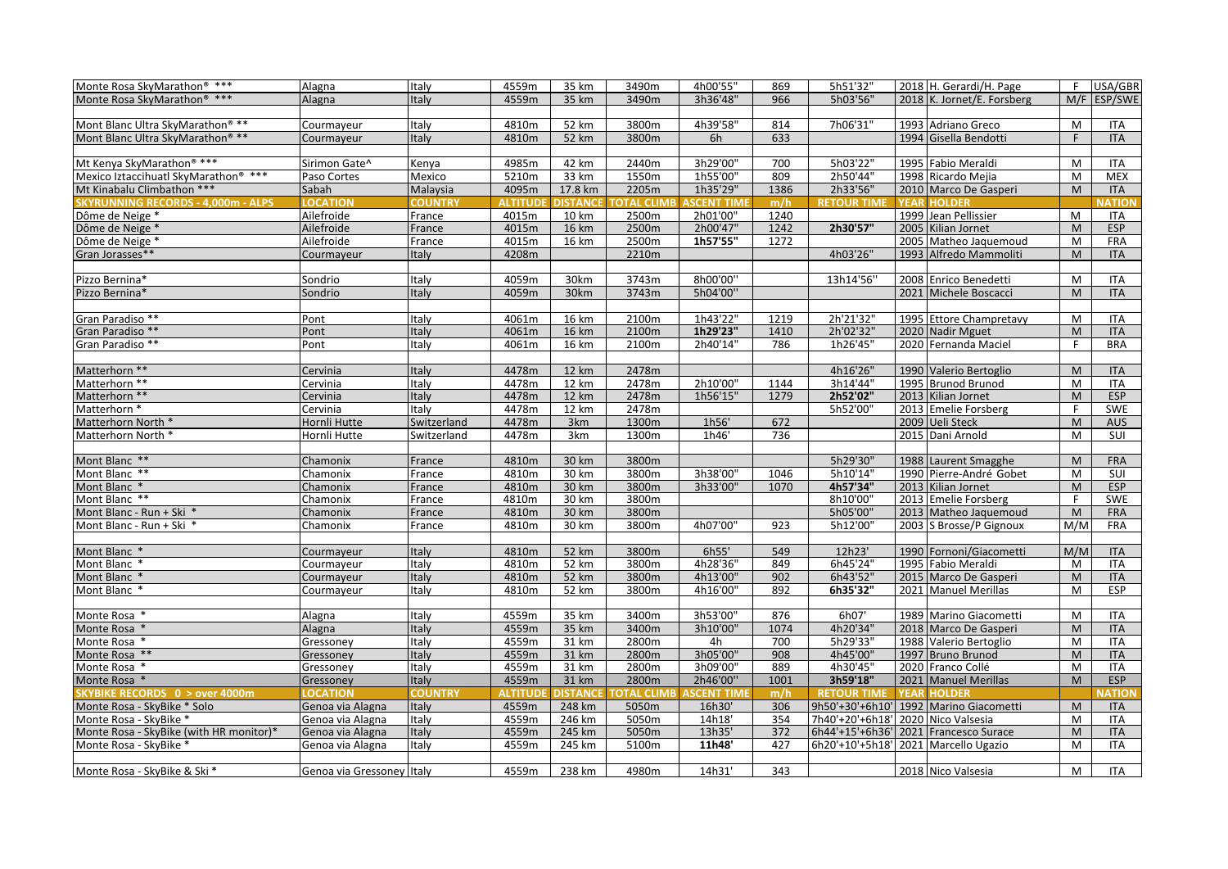| Monte Rosa SkyMarathon® ***                      | Alagna                    | Italy          | 4559m           | 35 km           | 3490m              | 4h00'55"           | 869         | 5h51'32"             |             | 2018 H. Gerardi/H. Page                         | F.      | USA/GBR                               |
|--------------------------------------------------|---------------------------|----------------|-----------------|-----------------|--------------------|--------------------|-------------|----------------------|-------------|-------------------------------------------------|---------|---------------------------------------|
| Monte Rosa SkyMarathon <sup>®</sup> ***          | Alagna                    | Italy          | 4559m           | 35 km           | 3490m              | 3h36'48"           | 966         | 5h03'56"             |             | 2018 K. Jornet/E. Forsberg                      | M/F     | ESP/SWE                               |
|                                                  |                           |                |                 |                 |                    |                    |             |                      |             |                                                 |         |                                       |
| Mont Blanc Ultra SkyMarathon® **                 | Courmayeur                | Italy          | 4810m           | 52 km           | 3800m              | 4h39'58"           | 814         | 7h06'31"             |             | 1993 Adriano Greco                              | M       | <b>ITA</b>                            |
| Mont Blanc Ultra SkyMarathon® **                 | Courmayeur                | Italy          | 4810m           | 52 km           | 3800m              | 6h                 | 633         |                      |             | 1994 Gisella Bendotti                           | F.      | <b>ITA</b>                            |
|                                                  |                           |                |                 |                 |                    |                    |             |                      |             |                                                 |         |                                       |
| Mt Kenya SkyMarathon® ***                        | Sirimon Gate^             | Kenya          | 4985m           | 42 km           | 2440m              | 3h29'00"           | 700         | 5h03'22"             |             | 1995 Fabio Meraldi                              | M       | <b>ITA</b>                            |
| Mexico Iztaccihuatl SkyMarathon <sup>®</sup> *** | Paso Cortes               | Mexico         | 5210m           | 33 km           | 1550m              | 1h55'00"           | 809         | 2h50'44"             |             | 1998 Ricardo Mejia                              | M       | <b>MEX</b>                            |
| Mt Kinabalu Climbathon ***                       | Sabah                     | Malaysia       | 4095m           | 17.8 km         | 2205m              | 1h35'29"           | 1386        | 2h33'56"             |             | 2010 Marco De Gasperi                           | M       | <b>ITA</b>                            |
| <b>SKYRUNNING RECORDS - 4,000m - ALPS</b>        | <b>LOCATION</b>           | <b>COUNTRY</b> | <b>ALTITUDE</b> | <b>DISTANCE</b> | <b>TOTAL CLIMB</b> | <b>ASCENT TIME</b> | m/h         | <b>RETOUR TIME</b>   | <b>YEAR</b> | <b>HOLDER</b>                                   |         | <b>NATION</b>                         |
| Dôme de Neige *                                  | Ailefroide                | France         | 4015m           | 10 km           | 2500m              | 2h01'00"           | 1240        |                      |             | 1999 Jean Pellissier                            | M       | <b>ITA</b>                            |
| Dôme de Neige *                                  | Ailefroide                | France         | 4015m           | 16 km           | 2500m              | 2h00'47"           | 1242        | 2h30'57"             |             | 2005 Kilian Jornet                              | M       | <b>ESP</b>                            |
| Dôme de Neige *                                  | Ailefroide                | France         | 4015m           | 16 km           | 2500m              | 1h57'55"           | 1272        |                      |             | 2005 Matheo Jaquemoud                           | M       | <b>FRA</b>                            |
| Gran Jorasses**                                  | Courmayeur                | <b>Italy</b>   | 4208m           |                 | 2210m              |                    |             | 4h03'26"             |             | 1993 Alfredo Mammoliti                          | M       | <b>ITA</b>                            |
|                                                  |                           |                |                 |                 |                    |                    |             |                      |             |                                                 |         |                                       |
| Pizzo Bernina*                                   | Sondrio                   | Italy          | 4059m           | 30km            | 3743m              | 8h00'00"           |             | 13h14'56"            |             | 2008 Enrico Benedetti                           | M       | <b>ITA</b>                            |
| Pizzo Bernina*                                   | Sondrio                   | Italy          | 4059m           | 30km            | 3743m              | 5h04'00"           |             |                      |             | 2021 Michele Boscacci                           | M       | <b>ITA</b>                            |
|                                                  |                           |                |                 |                 |                    |                    |             |                      |             |                                                 |         |                                       |
| Gran Paradiso **                                 | Pont                      | Italy          | 4061m           | 16 km           | 2100m              | 1h43'22"           | 1219        | 2h'21'32"            |             | 1995 Ettore Champretavy                         | M       | <b>ITA</b>                            |
| Gran Paradiso **                                 | Pont                      | Italy          | 4061m           | 16 km           | 2100m              | 1h29'23"           | 1410        | 2h'02'32"            |             | 2020 Nadir Mguet                                | M       | <b>ITA</b>                            |
| Gran Paradiso **                                 | Pont                      | Italy          | 4061m           | 16 km           | 2100m              | 2h40'14"           | 786         | 1h26'45"             |             | 2020 Fernanda Maciel                            | F.      | <b>BRA</b>                            |
|                                                  |                           |                |                 |                 |                    |                    |             |                      |             |                                                 |         |                                       |
| Matterhorn **                                    |                           | Italy          | 4478m           | 12 km           | 2478m              |                    |             | 4h16'26"             |             | 1990 Valerio Bertoglio                          | M       | <b>ITA</b>                            |
| Matterhorn **                                    | Cervinia<br>Cervinia      | Italy          | 4478m           | 12 km           | 2478m              | 2h10'00"           | 1144        | 3h14'44"             |             | 1995 Brunod Brunod                              | M       | <b>ITA</b>                            |
| Matterhorn **                                    |                           |                | 4478m           | 12 km           | 2478m              | 1h56'15"           | 1279        | 2h52'02"             |             | 2013 Kilian Jornet                              | M       | <b>ESP</b>                            |
|                                                  | Cervinia                  | Italy          |                 |                 |                    |                    |             | 5h52'00"             |             |                                                 | F.      | <b>SWE</b>                            |
| Matterhorn *                                     | Cervinia                  | Italy          | 4478m<br>4478m  | 12 km<br>3km    | 2478m<br>1300m     | 1h56'              | 672         |                      |             | 2013 Emelie Forsberg<br>2009 Ueli Steck         | M       |                                       |
| Matterhorn North *                               | Hornli Hutte              | Switzerland    |                 |                 |                    |                    |             |                      |             |                                                 |         | <b>AUS</b><br>$\overline{\text{SUI}}$ |
| Matterhorn North *                               | Hornli Hutte              | Switzerland    | 4478m           | 3km             | 1300m              | 1h46'              | 736         |                      |             | 2015 Dani Arnold                                | M       |                                       |
|                                                  |                           |                |                 |                 |                    |                    |             |                      |             |                                                 |         |                                       |
| Mont Blanc **                                    | Chamonix                  | France         | 4810m<br>4810m  | 30 km<br>30 km  | 3800m              | 3h38'00"           | 1046        | 5h29'30"<br>5h10'14" |             | 1988 Laurent Smagghe<br>1990 Pierre-André Gobet | M<br>M  | <b>FRA</b><br>SUI                     |
| Mont Blanc **                                    | Chamonix                  | France         |                 |                 | 3800m              |                    | 1070        | 4h57'34"             |             |                                                 | M       | <b>ESP</b>                            |
| Mont Blanc *                                     | Chamonix                  | France         | 4810m           | 30 km           | 3800m              | 3h33'00"           |             | 8h10'00"             |             | 2013 Kilian Jornet                              |         |                                       |
| Mont Blanc **                                    | Chamonix                  | France         | 4810m           | 30 km           | 3800m              |                    |             |                      |             | 2013 Emelie Forsberg                            | F.<br>M | <b>SWE</b><br><b>FRA</b>              |
| Mont Blanc - Run + Ski *                         | Chamonix                  | France         | 4810m           | 30 km           | 3800m              |                    |             | 5h05'00"             |             | 2013 Matheo Jaquemoud                           |         |                                       |
| Mont Blanc - Run + Ski *                         | Chamonix                  | France         | 4810m           | 30 km           | 3800m              | 4h07'00"           | 923         | 5h12'00"             |             | 2003 S Brosse/P Gignoux                         | M/M     | FRA                                   |
|                                                  |                           |                |                 |                 |                    | 6h55'              |             | 12h23'               |             |                                                 |         | <b>ITA</b>                            |
| Mont Blanc *                                     | Courmayeur                | Italy          | 4810m           | 52 km           | 3800m              |                    | 549         |                      |             | 1990 Fornoni/Giacometti                         | M/M     |                                       |
| Mont Blanc *                                     | Courmayeur                | Italy          | 4810m           | 52 km           | 3800m              | 4h28'36"           | 849         | 6h45'24"             |             | 1995 Fabio Meraldi                              | M       | <b>ITA</b>                            |
| Mont Blanc *                                     | Courmayeur                | Italy          | 4810m           | 52 km           | 3800m              | 4h13'00"           | 902         | 6h43'52"             |             | 2015 Marco De Gasperi                           | M       | <b>ITA</b><br><b>ESP</b>              |
| Mont Blanc *                                     | Courmayeur                | Italy          | 4810m           | 52 km           | 3800m              | 4h16'00"           | 892         | 6h35'32"             |             | 2021 Manuel Merillas                            | M       |                                       |
|                                                  |                           |                | 4559m           | 35 km           |                    | 3h53'00"           |             |                      |             |                                                 |         |                                       |
| Monte Rosa *                                     | Alagna                    | Italy          |                 |                 | 3400m              |                    | 876         | 6h07'                |             | 1989 Marino Giacometti                          | M       | <b>ITA</b>                            |
| Monte Rosa *                                     | Alagna                    | Italy          | 4559m           | 35 km           | 3400m              | 3h10'00"           | 1074<br>700 | 4h20'34"             |             | 2018 Marco De Gasperi                           | M       | <b>ITA</b>                            |
| Monte Rosa *                                     | Gressoney                 | Italy          | 4559m           | 31 km           | 2800m              | 4h                 |             | 5h29'33"             |             | 1988 Valerio Bertoglio                          | M       | <b>ITA</b>                            |
| Monte Rosa **                                    | Gressoney                 | Italy          | 4559m           | 31 km           | 2800m              | 3h05'00"           | 908         | 4h45'00"             |             | 1997 Bruno Brunod                               | M       | <b>ITA</b>                            |
| Monte Rosa *                                     | Gressoney                 | Italy          | 4559m           | 31 km           | 2800m              | 3h09'00"           | 889         | 4h30'45"             |             | 2020 Franco Collé                               | M       | <b>ITA</b>                            |
| Monte Rosa *                                     | Gressoney                 | Italy          | 4559m           | 31 km           | 2800m              | 2h46'00"           | 1001        | 3h59'18"             |             | 2021 Manuel Merillas                            | M       | <b>ESP</b>                            |
| SKYBIKE RECORDS 0 > over 4000m                   | <b>LOCATION</b>           | <b>COUNTRY</b> | <b>ALTITUD</b>  | <b>DISTANCI</b> | <b>OTAL CLIME</b>  | <b>ASCENT TIM</b>  | m/h         | <b>RETOUR TIME</b>   | <b>YEAF</b> | <b>HOLDER</b>                                   |         | <b>NATION</b>                         |
| Monte Rosa - SkyBike * Solo                      | Genoa via Alagna          | Italy          | 4559m           | 248 km          | 5050m              | 16h30'             | 306         | 9h50'+30'+6h10'      |             | 1992 Marino Giacometti                          | M       | <b>ITA</b>                            |
| Monte Rosa - SkyBike *                           | Genoa via Alagna          | Italy          | 4559m           | 246 km          | 5050m              | 14h18'             | 354         | 7h40'+20'+6h18'      |             | 2020 Nico Valsesia                              | M       | <b>ITA</b>                            |
| Monte Rosa - SkyBike (with HR monitor)*          | Genoa via Alagna          | Italy          | 4559m           | 245 km          | 5050m              | 13h35'             | 372         | 6h44'+15'+6h36'      |             | 2021 Francesco Surace                           | M       | <b>ITA</b>                            |
| Monte Rosa - SkyBike *                           | Genoa via Alagna          | Italy          | 4559m           | 245 km          | 5100m              | 11h48'             | 427         | 6h20'+10'+5h18'      |             | 2021 Marcello Ugazio                            | M       | <b>ITA</b>                            |
|                                                  |                           |                |                 |                 |                    |                    |             |                      |             |                                                 |         |                                       |
| Monte Rosa - SkyBike & Ski *                     | Genoa via Gressoney Italy |                | 4559m           | 238 km          | 4980m              | 14h31'             | 343         |                      |             | 2018 Nico Valsesia                              | M       | <b>ITA</b>                            |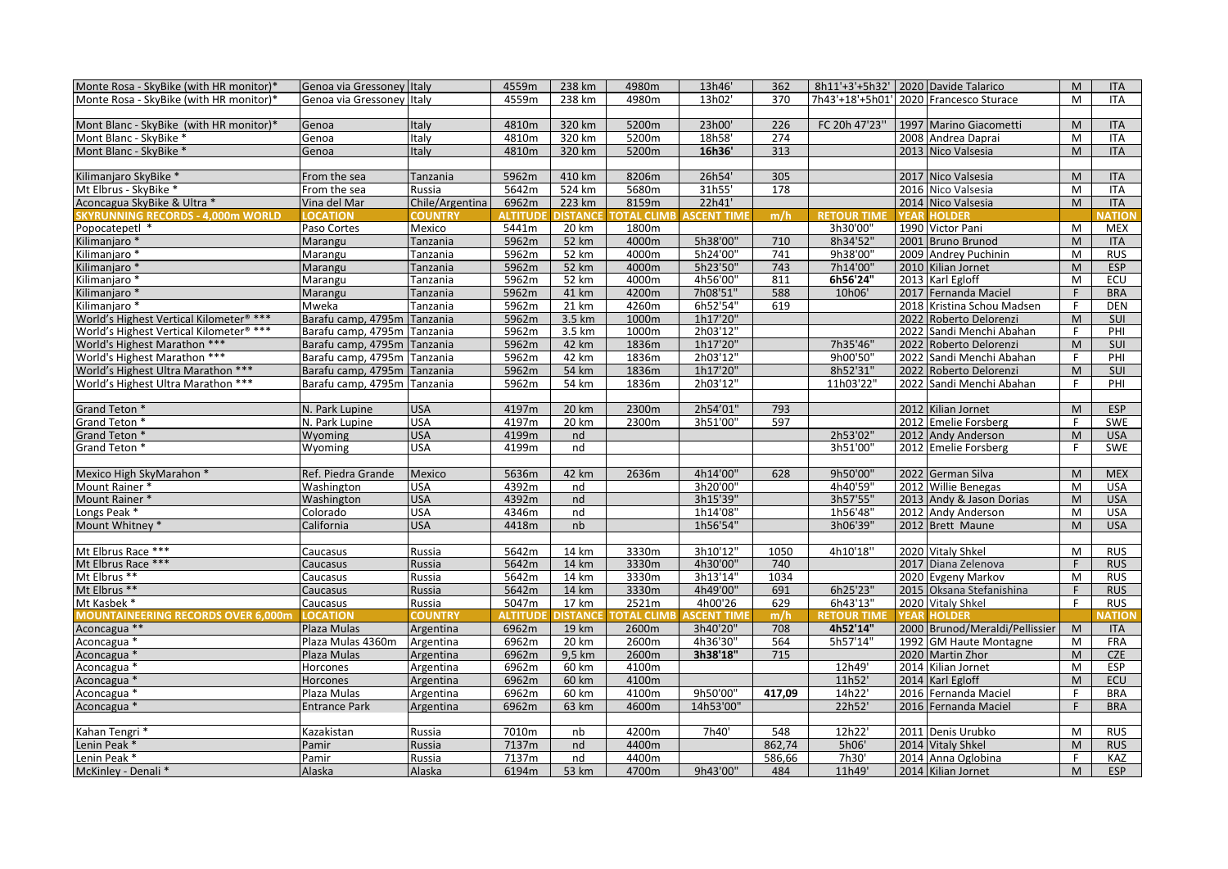| M<br><b>ITA</b><br>Monte Rosa - SkyBike (with HR monitor)*<br>4559m<br>238 km<br>4980m<br>13h02<br>370<br>7h43'+18'+5h01<br>2020 Francesco Sturace<br>Genoa via Gressoney Italy<br>4810m<br>320 km<br>5200m<br>23h00'<br>226<br>FC 20h 47'23"<br><b>ITA</b><br>Mont Blanc - SkyBike (with HR monitor)*<br>Italy<br>1997 Marino Giacometti<br>M<br>Genoa<br>ITA<br>Mont Blanc - SkyBike *<br>4810m<br>320 km<br>18h58<br>274<br>2008 Andrea Daprai<br>M<br>Genoa<br>Italy<br>5200m<br>313<br>M<br><b>ITA</b><br>Mont Blanc - SkyBike *<br>Italy<br>4810m<br>320 km<br>5200m<br>16h36'<br>2013 Nico Valsesia<br>Genoa<br>26h54'<br><b>ITA</b><br>Kilimanjaro SkyBike *<br>5962m<br>410 km<br>8206m<br>305<br>2017 Nico Valsesia<br>M<br>From the sea<br>Tanzania<br>31h55'<br><b>ITA</b><br>Mt Elbrus - SkyBike *<br>From the sea<br>5642m<br>524 km<br>5680m<br>178<br>2016 Nico Valsesia<br>M<br>Russia<br><b>ITA</b><br>6962m<br>223 km<br>8159m<br>22h41'<br>M<br>Aconcagua SkyBike & Ultra *<br>Vina del Mar<br>Chile/Argentina<br>2014 Nico Valsesia<br><b>TOTAL CLIME</b><br><b>ASCENT TIM</b><br><b>VATIOI</b><br>SKYRUNNING RECORDS - 4,000m WORLD<br>LOCATION<br><b>COUNTRY</b><br><b>ALTITUDI</b><br><b>DISTANCE</b><br>m/h<br><b>RETOUR TIME</b><br><b>YEAR HOLDER</b><br>3h30'00"<br><b>MEX</b><br>Paso Cortes<br>5441m<br>20 km<br>1800m<br>1990 Victor Pani<br>M<br>Popocatepetl *<br>Mexico<br>Kilimanjaro <sup>*</sup><br>5962m<br>52 km<br>5h38'00"<br>710<br>8h34'52"<br>2001 Bruno Brunod<br>M<br><b>ITA</b><br>4000m<br>Marangu<br>Tanzania<br>Kilimanjaro*<br>5962m<br>52 km<br>5h24'00"<br>741<br>9h38'00"<br>M<br><b>RUS</b><br>Marangu<br>Tanzania<br>4000m<br>2009 Andrey Puchinin<br>ESP<br>Kilimanjaro *<br>5962m<br>52 km<br>4000m<br>5h23'50"<br>743<br>7h14'00"<br>2010 Kilian Jornet<br>M<br>Marangu<br>Tanzania<br>ECU<br>5962m<br>52 km<br>4000m<br>4h56'00"<br>811<br>6h56'24"<br>2013 Karl Egloff<br>Kilimanjaro *<br>Marangu<br>M<br>Tanzania<br>Kilimanjaro *<br>5962m<br>4200m<br>7h08'51"<br>588<br>10h06'<br>2017 Fernanda Maciel<br>F.<br><b>BRA</b><br>Marangu<br>41 km<br>Tanzania<br>21 km<br>6h52'54"<br>2018 Kristina Schou Madsen<br>F.<br><b>DEN</b><br>Kilimaniaro <sup>*</sup><br>Mweka<br>5962m<br>4260m<br>619<br>Tanzania<br>$\overline{M}$<br>SUI<br>World's Highest Vertical Kilometer® ***<br>Barafu camp, 4795m<br>5962m<br>1h17'20"<br>3.5 km<br>1000m<br>2022<br>Roberto Delorenzi<br>Tanzania<br>World's Highest Vertical Kilometer <sup>®</sup> ***<br>Sandi Menchi Abahan<br>Barafu camp, 4795m<br>Tanzania<br>5962m<br>3.5 km<br>1000m<br>2h03'12"<br>2022<br>F.<br>PHI<br>7h35'46"<br>SUI<br>World's Highest Marathon ***<br>5962m<br>42 km<br>1836m<br>1h17'20"<br>2022 Roberto Delorenzi<br>M<br>Barafu camp, 4795m<br>Tanzania<br>World's Highest Marathon ***<br>2h03'12"<br>9h00'50"<br>$\mathsf F$<br>PHI<br>Barafu camp, 4795m<br>5962m<br>42 km<br>1836m<br>2022 Sandi Menchi Abahan<br>Tanzania<br>SUI<br>8h52'31"<br>M<br>World's Highest Ultra Marathon ***<br>Tanzania<br>5962m<br>54 km<br>1836m<br>1h17'20"<br>2022<br>Roberto Delorenzi<br>Barafu camp, 4795m<br>2h03'12"<br>PHI<br>Barafu camp, 4795m<br>5962m<br>54 km<br>1836m<br>11h03'22"<br>2022 Sandi Menchi Abahan<br>F.<br>World's Highest Ultra Marathon ***<br>Tanzania<br>ESP<br><b>USA</b><br>4197m<br><b>20 km</b><br>2300m<br>2h54'01"<br>793<br>2012 Kilian Jornet<br>Grand Teton *<br>N. Park Lupine<br>M<br><b>SWE</b><br>4197m<br>597<br>Grand Teton *<br>N. Park Lupine<br><b>USA</b><br>20 km<br>3h51'00"<br><b>Emelie Forsberg</b><br>F.<br>2300m<br>2012<br>2h53'02"<br><b>Andy Anderson</b><br><b>USA</b><br>Grand Teton *<br><b>USA</b><br>4199m<br>2012<br>M<br>Wyoming<br>nd<br><b>SWE</b><br>Grand Teton *<br><b>USA</b><br>4199m<br>3h51'00"<br>2012 Emelie Forsberg<br>F.<br>Wyoming<br>nd<br>5636m<br>42 km<br>2636m<br>4h14'00"<br>628<br>9h50'00"<br>2022 German Silva<br><b>MEX</b><br>Mexico High SkyMarahon *<br>Ref. Piedra Grande<br>Mexico<br>M<br>4392m<br>3h20'00"<br>4h40'59"<br>2012 Willie Benegas<br><b>USA</b><br>Washington<br><b>USA</b><br>M<br>Mount Rainer *<br>nd<br>4392m<br>3h15'39"<br>3h57'55"<br>2013 Andy & Jason Dorias<br><b>USA</b><br>Mount Rainer *<br>Washington<br><b>USA</b><br>M<br>nd<br><b>USA</b><br>1h14'08"<br>1h56'48"<br>2012 Andy Anderson<br><b>USA</b><br>Longs Peak <sup>*</sup><br>Colorado<br>4346m<br>nd<br>M<br><b>USA</b><br>1h56'54"<br>3h06'39"<br>M<br>Mount Whitney *<br>California<br><b>USA</b><br>4418m<br>nb<br>2012 Brett Maune<br>Mt Elbrus Race ***<br>5642m<br>3h10'12"<br>1050<br>4h10'18"<br>2020 Vitaly Shkel<br>M<br><b>RUS</b><br>Russia<br>14 km<br>3330m<br>Caucasus<br>Mt Elbrus Race ***<br>F.<br>5642m<br>14 km<br>3330m<br>4h30'00"<br>740<br>2017 Diana Zelenova<br><b>RUS</b><br>Russia<br>Caucasus<br>Mt Elbrus **<br>M<br><b>RUS</b><br>5642m<br>14 km<br>3330m<br>3h13'14"<br>1034<br>2020 Evgeny Markov<br>Caucasus<br>Russia<br><b>RUS</b><br>Mt Elbrus **<br>5642m<br>14 km<br>3330m<br>4h49'00"<br>691<br>6h25'23"<br>2015 Oksana Stefanishina<br>F.<br>Caucasus<br>Russia<br>Mt Kasbek*<br>5047m<br>17 km<br>2521m<br>4h00'26<br>629<br>6h43'13"<br>2020 Vitaly Shkel<br>F.<br><b>RUS</b><br>Caucasus<br>Russia<br><b>TOTAL CLIMB</b><br><b>ASCENT TIME</b><br><b>MOUNTAINEERING RECORDS OVER 6,000m</b><br><b>ALTITUDE</b><br><b>DISTANCE</b><br><b>RETOUR TIME</b><br><b>YEAR HOLDER</b><br><b>VATION</b><br><b>LOCATION</b><br><b>COUNTRY</b><br>m/h<br>Aconcagua **<br>6962m<br>19 km<br>2600m<br>3h40'20"<br>4h52'14"<br>2000 Brunod/Meraldi/Pellissier<br>M<br><b>ITA</b><br>Plaza Mulas<br>Argentina<br>708<br>5h57'14"<br><b>FRA</b><br>Plaza Mulas 4360m<br>6962m<br>20 km<br>2600m<br>564<br>1992 GM Haute Montagne<br>M<br>Aconcagua *<br>Argentina<br>4h36'30"<br><b>CZE</b><br>6962m<br>9,5 km<br>2600m<br>3h38'18"<br>715<br>2020 Martin Zhor<br>M<br>Aconcagua *<br>Plaza Mulas<br>Argentina<br>6962m<br>4100m<br>12h49'<br>2014 Kilian Jornet<br>M<br><b>ESP</b><br>Aconcagua *<br>60 km<br>Horcones<br>Argentina<br>ECU<br>6962m<br>4100m<br>11h52'<br>2014 Karl Egloff<br>M<br>Aconcagua *<br>Argentina<br>60 km<br>Horcones<br>60 km<br>9h50'00"<br>14h22'<br>F<br><b>BRA</b><br>Aconcagua *<br>Plaza Mulas<br>6962m<br>4100m<br>417,09<br>2016 Fernanda Maciel<br>Argentina<br><b>Entrance Park</b><br>4600m<br>14h53'00"<br>22h52'<br>2016 Fernanda Maciel<br><b>BRA</b><br>Aconcagua *<br>6962m<br>63 km<br>F.<br>Argentina<br>4200m<br>7h40'<br>12h22'<br>2011 Denis Urubko<br>Kahan Tengri*<br>Kazakistan<br>7010m<br>548<br>M<br><b>RUS</b><br>Russia<br>nb<br>4400m<br>5h06'<br>2014 Vitaly Shkel<br>M<br><b>RUS</b><br>Lenin Peak*<br>7137m<br>nd<br>862,74<br>Pamir<br>Russia<br>KAZ<br>Lenin Peak <sup>*</sup><br>7137m<br>4400m<br>586.66<br>7h30'<br>2014 Anna Oglobina<br>F.<br>Pamir<br>Russia<br>nd<br>9h43'00"<br>11h49'<br>M<br><b>ESP</b><br>McKinley - Denali *<br>6194m<br>53 km<br>4700m<br>484<br>2014 Kilian Jornet<br>Alaska<br>Alaska | Monte Rosa - SkyBike (with HR monitor)* | Genoa via Gressoney Italy | 4559m | 238 km | 4980m | 13h46' | 362 | 8h11'+3'+5h32' | 2020 Davide Talarico | M | <b>ITA</b> |
|-------------------------------------------------------------------------------------------------------------------------------------------------------------------------------------------------------------------------------------------------------------------------------------------------------------------------------------------------------------------------------------------------------------------------------------------------------------------------------------------------------------------------------------------------------------------------------------------------------------------------------------------------------------------------------------------------------------------------------------------------------------------------------------------------------------------------------------------------------------------------------------------------------------------------------------------------------------------------------------------------------------------------------------------------------------------------------------------------------------------------------------------------------------------------------------------------------------------------------------------------------------------------------------------------------------------------------------------------------------------------------------------------------------------------------------------------------------------------------------------------------------------------------------------------------------------------------------------------------------------------------------------------------------------------------------------------------------------------------------------------------------------------------------------------------------------------------------------------------------------------------------------------------------------------------------------------------------------------------------------------------------------------------------------------------------------------------------------------------------------------------------------------------------------------------------------------------------------------------------------------------------------------------------------------------------------------------------------------------------------------------------------------------------------------------------------------------------------------------------------------------------------------------------------------------------------------------------------------------------------------------------------------------------------------------------------------------------------------------------------------------------------------------------------------------------------------------------------------------------------------------------------------------------------------------------------------------------------------------------------------------------------------------------------------------------------------------------------------------------------------------------------------------------------------------------------------------------------------------------------------------------------------------------------------------------------------------------------------------------------------------------------------------------------------------------------------------------------------------------------------------------------------------------------------------------------------------------------------------------------------------------------------------------------------------------------------------------------------------------------------------------------------------------------------------------------------------------------------------------------------------------------------------------------------------------------------------------------------------------------------------------------------------------------------------------------------------------------------------------------------------------------------------------------------------------------------------------------------------------------------------------------------------------------------------------------------------------------------------------------------------------------------------------------------------------------------------------------------------------------------------------------------------------------------------------------------------------------------------------------------------------------------------------------------------------------------------------------------------------------------------------------------------------------------------------------------------------------------------------------------------------------------------------------------------------------------------------------------------------------------------------------------------------------------------------------------------------------------------------------------------------------------------------------------------------------------------------------------------------------------------------------------------------------------------------------------------------------------------------------------------------------------------------------------------------------------------------------------------------------------------------------------------------------------------------------------------------------------------------------------------------------------------------------------------------------------------------------------------------------------------------------------------------------------------------------------------------------------------------------------------------------------------------------------------------------------------------------------------------------------------------------------------------------------------------------------------------------------------------------------------------------------------------------------------------------------------------------------------------------------------------------------------------------------------------------------------------------------------------------------------------------------------------------------------------------------------------------------------------------------------------------------------------------------------------------------------------------------------------------------------------------------------------------------------------------------------------------------------------------------------------------------------------------------------------------------------------------------------------------------------------------------------------------------------------------------------------------------------------------------------------------------------------|-----------------------------------------|---------------------------|-------|--------|-------|--------|-----|----------------|----------------------|---|------------|
|                                                                                                                                                                                                                                                                                                                                                                                                                                                                                                                                                                                                                                                                                                                                                                                                                                                                                                                                                                                                                                                                                                                                                                                                                                                                                                                                                                                                                                                                                                                                                                                                                                                                                                                                                                                                                                                                                                                                                                                                                                                                                                                                                                                                                                                                                                                                                                                                                                                                                                                                                                                                                                                                                                                                                                                                                                                                                                                                                                                                                                                                                                                                                                                                                                                                                                                                                                                                                                                                                                                                                                                                                                                                                                                                                                                                                                                                                                                                                                                                                                                                                                                                                                                                                                                                                                                                                                                                                                                                                                                                                                                                                                                                                                                                                                                                                                                                                                                                                                                                                                                                                                                                                                                                                                                                                                                                                                                                                                                                                                                                                                                                                                                                                                                                                                                                                                                                                                                                                                                                                                                                                                                                                                                                                                                                                                                                                                                                                                                                                                                                                                                                                                                                                                                                                                                                                                                                                                                                                                                                                                     |                                         |                           |       |        |       |        |     |                |                      |   |            |
|                                                                                                                                                                                                                                                                                                                                                                                                                                                                                                                                                                                                                                                                                                                                                                                                                                                                                                                                                                                                                                                                                                                                                                                                                                                                                                                                                                                                                                                                                                                                                                                                                                                                                                                                                                                                                                                                                                                                                                                                                                                                                                                                                                                                                                                                                                                                                                                                                                                                                                                                                                                                                                                                                                                                                                                                                                                                                                                                                                                                                                                                                                                                                                                                                                                                                                                                                                                                                                                                                                                                                                                                                                                                                                                                                                                                                                                                                                                                                                                                                                                                                                                                                                                                                                                                                                                                                                                                                                                                                                                                                                                                                                                                                                                                                                                                                                                                                                                                                                                                                                                                                                                                                                                                                                                                                                                                                                                                                                                                                                                                                                                                                                                                                                                                                                                                                                                                                                                                                                                                                                                                                                                                                                                                                                                                                                                                                                                                                                                                                                                                                                                                                                                                                                                                                                                                                                                                                                                                                                                                                                     |                                         |                           |       |        |       |        |     |                |                      |   |            |
|                                                                                                                                                                                                                                                                                                                                                                                                                                                                                                                                                                                                                                                                                                                                                                                                                                                                                                                                                                                                                                                                                                                                                                                                                                                                                                                                                                                                                                                                                                                                                                                                                                                                                                                                                                                                                                                                                                                                                                                                                                                                                                                                                                                                                                                                                                                                                                                                                                                                                                                                                                                                                                                                                                                                                                                                                                                                                                                                                                                                                                                                                                                                                                                                                                                                                                                                                                                                                                                                                                                                                                                                                                                                                                                                                                                                                                                                                                                                                                                                                                                                                                                                                                                                                                                                                                                                                                                                                                                                                                                                                                                                                                                                                                                                                                                                                                                                                                                                                                                                                                                                                                                                                                                                                                                                                                                                                                                                                                                                                                                                                                                                                                                                                                                                                                                                                                                                                                                                                                                                                                                                                                                                                                                                                                                                                                                                                                                                                                                                                                                                                                                                                                                                                                                                                                                                                                                                                                                                                                                                                                     |                                         |                           |       |        |       |        |     |                |                      |   |            |
|                                                                                                                                                                                                                                                                                                                                                                                                                                                                                                                                                                                                                                                                                                                                                                                                                                                                                                                                                                                                                                                                                                                                                                                                                                                                                                                                                                                                                                                                                                                                                                                                                                                                                                                                                                                                                                                                                                                                                                                                                                                                                                                                                                                                                                                                                                                                                                                                                                                                                                                                                                                                                                                                                                                                                                                                                                                                                                                                                                                                                                                                                                                                                                                                                                                                                                                                                                                                                                                                                                                                                                                                                                                                                                                                                                                                                                                                                                                                                                                                                                                                                                                                                                                                                                                                                                                                                                                                                                                                                                                                                                                                                                                                                                                                                                                                                                                                                                                                                                                                                                                                                                                                                                                                                                                                                                                                                                                                                                                                                                                                                                                                                                                                                                                                                                                                                                                                                                                                                                                                                                                                                                                                                                                                                                                                                                                                                                                                                                                                                                                                                                                                                                                                                                                                                                                                                                                                                                                                                                                                                                     |                                         |                           |       |        |       |        |     |                |                      |   |            |
|                                                                                                                                                                                                                                                                                                                                                                                                                                                                                                                                                                                                                                                                                                                                                                                                                                                                                                                                                                                                                                                                                                                                                                                                                                                                                                                                                                                                                                                                                                                                                                                                                                                                                                                                                                                                                                                                                                                                                                                                                                                                                                                                                                                                                                                                                                                                                                                                                                                                                                                                                                                                                                                                                                                                                                                                                                                                                                                                                                                                                                                                                                                                                                                                                                                                                                                                                                                                                                                                                                                                                                                                                                                                                                                                                                                                                                                                                                                                                                                                                                                                                                                                                                                                                                                                                                                                                                                                                                                                                                                                                                                                                                                                                                                                                                                                                                                                                                                                                                                                                                                                                                                                                                                                                                                                                                                                                                                                                                                                                                                                                                                                                                                                                                                                                                                                                                                                                                                                                                                                                                                                                                                                                                                                                                                                                                                                                                                                                                                                                                                                                                                                                                                                                                                                                                                                                                                                                                                                                                                                                                     |                                         |                           |       |        |       |        |     |                |                      |   |            |
|                                                                                                                                                                                                                                                                                                                                                                                                                                                                                                                                                                                                                                                                                                                                                                                                                                                                                                                                                                                                                                                                                                                                                                                                                                                                                                                                                                                                                                                                                                                                                                                                                                                                                                                                                                                                                                                                                                                                                                                                                                                                                                                                                                                                                                                                                                                                                                                                                                                                                                                                                                                                                                                                                                                                                                                                                                                                                                                                                                                                                                                                                                                                                                                                                                                                                                                                                                                                                                                                                                                                                                                                                                                                                                                                                                                                                                                                                                                                                                                                                                                                                                                                                                                                                                                                                                                                                                                                                                                                                                                                                                                                                                                                                                                                                                                                                                                                                                                                                                                                                                                                                                                                                                                                                                                                                                                                                                                                                                                                                                                                                                                                                                                                                                                                                                                                                                                                                                                                                                                                                                                                                                                                                                                                                                                                                                                                                                                                                                                                                                                                                                                                                                                                                                                                                                                                                                                                                                                                                                                                                                     |                                         |                           |       |        |       |        |     |                |                      |   |            |
|                                                                                                                                                                                                                                                                                                                                                                                                                                                                                                                                                                                                                                                                                                                                                                                                                                                                                                                                                                                                                                                                                                                                                                                                                                                                                                                                                                                                                                                                                                                                                                                                                                                                                                                                                                                                                                                                                                                                                                                                                                                                                                                                                                                                                                                                                                                                                                                                                                                                                                                                                                                                                                                                                                                                                                                                                                                                                                                                                                                                                                                                                                                                                                                                                                                                                                                                                                                                                                                                                                                                                                                                                                                                                                                                                                                                                                                                                                                                                                                                                                                                                                                                                                                                                                                                                                                                                                                                                                                                                                                                                                                                                                                                                                                                                                                                                                                                                                                                                                                                                                                                                                                                                                                                                                                                                                                                                                                                                                                                                                                                                                                                                                                                                                                                                                                                                                                                                                                                                                                                                                                                                                                                                                                                                                                                                                                                                                                                                                                                                                                                                                                                                                                                                                                                                                                                                                                                                                                                                                                                                                     |                                         |                           |       |        |       |        |     |                |                      |   |            |
|                                                                                                                                                                                                                                                                                                                                                                                                                                                                                                                                                                                                                                                                                                                                                                                                                                                                                                                                                                                                                                                                                                                                                                                                                                                                                                                                                                                                                                                                                                                                                                                                                                                                                                                                                                                                                                                                                                                                                                                                                                                                                                                                                                                                                                                                                                                                                                                                                                                                                                                                                                                                                                                                                                                                                                                                                                                                                                                                                                                                                                                                                                                                                                                                                                                                                                                                                                                                                                                                                                                                                                                                                                                                                                                                                                                                                                                                                                                                                                                                                                                                                                                                                                                                                                                                                                                                                                                                                                                                                                                                                                                                                                                                                                                                                                                                                                                                                                                                                                                                                                                                                                                                                                                                                                                                                                                                                                                                                                                                                                                                                                                                                                                                                                                                                                                                                                                                                                                                                                                                                                                                                                                                                                                                                                                                                                                                                                                                                                                                                                                                                                                                                                                                                                                                                                                                                                                                                                                                                                                                                                     |                                         |                           |       |        |       |        |     |                |                      |   |            |
|                                                                                                                                                                                                                                                                                                                                                                                                                                                                                                                                                                                                                                                                                                                                                                                                                                                                                                                                                                                                                                                                                                                                                                                                                                                                                                                                                                                                                                                                                                                                                                                                                                                                                                                                                                                                                                                                                                                                                                                                                                                                                                                                                                                                                                                                                                                                                                                                                                                                                                                                                                                                                                                                                                                                                                                                                                                                                                                                                                                                                                                                                                                                                                                                                                                                                                                                                                                                                                                                                                                                                                                                                                                                                                                                                                                                                                                                                                                                                                                                                                                                                                                                                                                                                                                                                                                                                                                                                                                                                                                                                                                                                                                                                                                                                                                                                                                                                                                                                                                                                                                                                                                                                                                                                                                                                                                                                                                                                                                                                                                                                                                                                                                                                                                                                                                                                                                                                                                                                                                                                                                                                                                                                                                                                                                                                                                                                                                                                                                                                                                                                                                                                                                                                                                                                                                                                                                                                                                                                                                                                                     |                                         |                           |       |        |       |        |     |                |                      |   |            |
|                                                                                                                                                                                                                                                                                                                                                                                                                                                                                                                                                                                                                                                                                                                                                                                                                                                                                                                                                                                                                                                                                                                                                                                                                                                                                                                                                                                                                                                                                                                                                                                                                                                                                                                                                                                                                                                                                                                                                                                                                                                                                                                                                                                                                                                                                                                                                                                                                                                                                                                                                                                                                                                                                                                                                                                                                                                                                                                                                                                                                                                                                                                                                                                                                                                                                                                                                                                                                                                                                                                                                                                                                                                                                                                                                                                                                                                                                                                                                                                                                                                                                                                                                                                                                                                                                                                                                                                                                                                                                                                                                                                                                                                                                                                                                                                                                                                                                                                                                                                                                                                                                                                                                                                                                                                                                                                                                                                                                                                                                                                                                                                                                                                                                                                                                                                                                                                                                                                                                                                                                                                                                                                                                                                                                                                                                                                                                                                                                                                                                                                                                                                                                                                                                                                                                                                                                                                                                                                                                                                                                                     |                                         |                           |       |        |       |        |     |                |                      |   |            |
|                                                                                                                                                                                                                                                                                                                                                                                                                                                                                                                                                                                                                                                                                                                                                                                                                                                                                                                                                                                                                                                                                                                                                                                                                                                                                                                                                                                                                                                                                                                                                                                                                                                                                                                                                                                                                                                                                                                                                                                                                                                                                                                                                                                                                                                                                                                                                                                                                                                                                                                                                                                                                                                                                                                                                                                                                                                                                                                                                                                                                                                                                                                                                                                                                                                                                                                                                                                                                                                                                                                                                                                                                                                                                                                                                                                                                                                                                                                                                                                                                                                                                                                                                                                                                                                                                                                                                                                                                                                                                                                                                                                                                                                                                                                                                                                                                                                                                                                                                                                                                                                                                                                                                                                                                                                                                                                                                                                                                                                                                                                                                                                                                                                                                                                                                                                                                                                                                                                                                                                                                                                                                                                                                                                                                                                                                                                                                                                                                                                                                                                                                                                                                                                                                                                                                                                                                                                                                                                                                                                                                                     |                                         |                           |       |        |       |        |     |                |                      |   |            |
|                                                                                                                                                                                                                                                                                                                                                                                                                                                                                                                                                                                                                                                                                                                                                                                                                                                                                                                                                                                                                                                                                                                                                                                                                                                                                                                                                                                                                                                                                                                                                                                                                                                                                                                                                                                                                                                                                                                                                                                                                                                                                                                                                                                                                                                                                                                                                                                                                                                                                                                                                                                                                                                                                                                                                                                                                                                                                                                                                                                                                                                                                                                                                                                                                                                                                                                                                                                                                                                                                                                                                                                                                                                                                                                                                                                                                                                                                                                                                                                                                                                                                                                                                                                                                                                                                                                                                                                                                                                                                                                                                                                                                                                                                                                                                                                                                                                                                                                                                                                                                                                                                                                                                                                                                                                                                                                                                                                                                                                                                                                                                                                                                                                                                                                                                                                                                                                                                                                                                                                                                                                                                                                                                                                                                                                                                                                                                                                                                                                                                                                                                                                                                                                                                                                                                                                                                                                                                                                                                                                                                                     |                                         |                           |       |        |       |        |     |                |                      |   |            |
|                                                                                                                                                                                                                                                                                                                                                                                                                                                                                                                                                                                                                                                                                                                                                                                                                                                                                                                                                                                                                                                                                                                                                                                                                                                                                                                                                                                                                                                                                                                                                                                                                                                                                                                                                                                                                                                                                                                                                                                                                                                                                                                                                                                                                                                                                                                                                                                                                                                                                                                                                                                                                                                                                                                                                                                                                                                                                                                                                                                                                                                                                                                                                                                                                                                                                                                                                                                                                                                                                                                                                                                                                                                                                                                                                                                                                                                                                                                                                                                                                                                                                                                                                                                                                                                                                                                                                                                                                                                                                                                                                                                                                                                                                                                                                                                                                                                                                                                                                                                                                                                                                                                                                                                                                                                                                                                                                                                                                                                                                                                                                                                                                                                                                                                                                                                                                                                                                                                                                                                                                                                                                                                                                                                                                                                                                                                                                                                                                                                                                                                                                                                                                                                                                                                                                                                                                                                                                                                                                                                                                                     |                                         |                           |       |        |       |        |     |                |                      |   |            |
|                                                                                                                                                                                                                                                                                                                                                                                                                                                                                                                                                                                                                                                                                                                                                                                                                                                                                                                                                                                                                                                                                                                                                                                                                                                                                                                                                                                                                                                                                                                                                                                                                                                                                                                                                                                                                                                                                                                                                                                                                                                                                                                                                                                                                                                                                                                                                                                                                                                                                                                                                                                                                                                                                                                                                                                                                                                                                                                                                                                                                                                                                                                                                                                                                                                                                                                                                                                                                                                                                                                                                                                                                                                                                                                                                                                                                                                                                                                                                                                                                                                                                                                                                                                                                                                                                                                                                                                                                                                                                                                                                                                                                                                                                                                                                                                                                                                                                                                                                                                                                                                                                                                                                                                                                                                                                                                                                                                                                                                                                                                                                                                                                                                                                                                                                                                                                                                                                                                                                                                                                                                                                                                                                                                                                                                                                                                                                                                                                                                                                                                                                                                                                                                                                                                                                                                                                                                                                                                                                                                                                                     |                                         |                           |       |        |       |        |     |                |                      |   |            |
|                                                                                                                                                                                                                                                                                                                                                                                                                                                                                                                                                                                                                                                                                                                                                                                                                                                                                                                                                                                                                                                                                                                                                                                                                                                                                                                                                                                                                                                                                                                                                                                                                                                                                                                                                                                                                                                                                                                                                                                                                                                                                                                                                                                                                                                                                                                                                                                                                                                                                                                                                                                                                                                                                                                                                                                                                                                                                                                                                                                                                                                                                                                                                                                                                                                                                                                                                                                                                                                                                                                                                                                                                                                                                                                                                                                                                                                                                                                                                                                                                                                                                                                                                                                                                                                                                                                                                                                                                                                                                                                                                                                                                                                                                                                                                                                                                                                                                                                                                                                                                                                                                                                                                                                                                                                                                                                                                                                                                                                                                                                                                                                                                                                                                                                                                                                                                                                                                                                                                                                                                                                                                                                                                                                                                                                                                                                                                                                                                                                                                                                                                                                                                                                                                                                                                                                                                                                                                                                                                                                                                                     |                                         |                           |       |        |       |        |     |                |                      |   |            |
|                                                                                                                                                                                                                                                                                                                                                                                                                                                                                                                                                                                                                                                                                                                                                                                                                                                                                                                                                                                                                                                                                                                                                                                                                                                                                                                                                                                                                                                                                                                                                                                                                                                                                                                                                                                                                                                                                                                                                                                                                                                                                                                                                                                                                                                                                                                                                                                                                                                                                                                                                                                                                                                                                                                                                                                                                                                                                                                                                                                                                                                                                                                                                                                                                                                                                                                                                                                                                                                                                                                                                                                                                                                                                                                                                                                                                                                                                                                                                                                                                                                                                                                                                                                                                                                                                                                                                                                                                                                                                                                                                                                                                                                                                                                                                                                                                                                                                                                                                                                                                                                                                                                                                                                                                                                                                                                                                                                                                                                                                                                                                                                                                                                                                                                                                                                                                                                                                                                                                                                                                                                                                                                                                                                                                                                                                                                                                                                                                                                                                                                                                                                                                                                                                                                                                                                                                                                                                                                                                                                                                                     |                                         |                           |       |        |       |        |     |                |                      |   |            |
|                                                                                                                                                                                                                                                                                                                                                                                                                                                                                                                                                                                                                                                                                                                                                                                                                                                                                                                                                                                                                                                                                                                                                                                                                                                                                                                                                                                                                                                                                                                                                                                                                                                                                                                                                                                                                                                                                                                                                                                                                                                                                                                                                                                                                                                                                                                                                                                                                                                                                                                                                                                                                                                                                                                                                                                                                                                                                                                                                                                                                                                                                                                                                                                                                                                                                                                                                                                                                                                                                                                                                                                                                                                                                                                                                                                                                                                                                                                                                                                                                                                                                                                                                                                                                                                                                                                                                                                                                                                                                                                                                                                                                                                                                                                                                                                                                                                                                                                                                                                                                                                                                                                                                                                                                                                                                                                                                                                                                                                                                                                                                                                                                                                                                                                                                                                                                                                                                                                                                                                                                                                                                                                                                                                                                                                                                                                                                                                                                                                                                                                                                                                                                                                                                                                                                                                                                                                                                                                                                                                                                                     |                                         |                           |       |        |       |        |     |                |                      |   |            |
|                                                                                                                                                                                                                                                                                                                                                                                                                                                                                                                                                                                                                                                                                                                                                                                                                                                                                                                                                                                                                                                                                                                                                                                                                                                                                                                                                                                                                                                                                                                                                                                                                                                                                                                                                                                                                                                                                                                                                                                                                                                                                                                                                                                                                                                                                                                                                                                                                                                                                                                                                                                                                                                                                                                                                                                                                                                                                                                                                                                                                                                                                                                                                                                                                                                                                                                                                                                                                                                                                                                                                                                                                                                                                                                                                                                                                                                                                                                                                                                                                                                                                                                                                                                                                                                                                                                                                                                                                                                                                                                                                                                                                                                                                                                                                                                                                                                                                                                                                                                                                                                                                                                                                                                                                                                                                                                                                                                                                                                                                                                                                                                                                                                                                                                                                                                                                                                                                                                                                                                                                                                                                                                                                                                                                                                                                                                                                                                                                                                                                                                                                                                                                                                                                                                                                                                                                                                                                                                                                                                                                                     |                                         |                           |       |        |       |        |     |                |                      |   |            |
|                                                                                                                                                                                                                                                                                                                                                                                                                                                                                                                                                                                                                                                                                                                                                                                                                                                                                                                                                                                                                                                                                                                                                                                                                                                                                                                                                                                                                                                                                                                                                                                                                                                                                                                                                                                                                                                                                                                                                                                                                                                                                                                                                                                                                                                                                                                                                                                                                                                                                                                                                                                                                                                                                                                                                                                                                                                                                                                                                                                                                                                                                                                                                                                                                                                                                                                                                                                                                                                                                                                                                                                                                                                                                                                                                                                                                                                                                                                                                                                                                                                                                                                                                                                                                                                                                                                                                                                                                                                                                                                                                                                                                                                                                                                                                                                                                                                                                                                                                                                                                                                                                                                                                                                                                                                                                                                                                                                                                                                                                                                                                                                                                                                                                                                                                                                                                                                                                                                                                                                                                                                                                                                                                                                                                                                                                                                                                                                                                                                                                                                                                                                                                                                                                                                                                                                                                                                                                                                                                                                                                                     |                                         |                           |       |        |       |        |     |                |                      |   |            |
|                                                                                                                                                                                                                                                                                                                                                                                                                                                                                                                                                                                                                                                                                                                                                                                                                                                                                                                                                                                                                                                                                                                                                                                                                                                                                                                                                                                                                                                                                                                                                                                                                                                                                                                                                                                                                                                                                                                                                                                                                                                                                                                                                                                                                                                                                                                                                                                                                                                                                                                                                                                                                                                                                                                                                                                                                                                                                                                                                                                                                                                                                                                                                                                                                                                                                                                                                                                                                                                                                                                                                                                                                                                                                                                                                                                                                                                                                                                                                                                                                                                                                                                                                                                                                                                                                                                                                                                                                                                                                                                                                                                                                                                                                                                                                                                                                                                                                                                                                                                                                                                                                                                                                                                                                                                                                                                                                                                                                                                                                                                                                                                                                                                                                                                                                                                                                                                                                                                                                                                                                                                                                                                                                                                                                                                                                                                                                                                                                                                                                                                                                                                                                                                                                                                                                                                                                                                                                                                                                                                                                                     |                                         |                           |       |        |       |        |     |                |                      |   |            |
|                                                                                                                                                                                                                                                                                                                                                                                                                                                                                                                                                                                                                                                                                                                                                                                                                                                                                                                                                                                                                                                                                                                                                                                                                                                                                                                                                                                                                                                                                                                                                                                                                                                                                                                                                                                                                                                                                                                                                                                                                                                                                                                                                                                                                                                                                                                                                                                                                                                                                                                                                                                                                                                                                                                                                                                                                                                                                                                                                                                                                                                                                                                                                                                                                                                                                                                                                                                                                                                                                                                                                                                                                                                                                                                                                                                                                                                                                                                                                                                                                                                                                                                                                                                                                                                                                                                                                                                                                                                                                                                                                                                                                                                                                                                                                                                                                                                                                                                                                                                                                                                                                                                                                                                                                                                                                                                                                                                                                                                                                                                                                                                                                                                                                                                                                                                                                                                                                                                                                                                                                                                                                                                                                                                                                                                                                                                                                                                                                                                                                                                                                                                                                                                                                                                                                                                                                                                                                                                                                                                                                                     |                                         |                           |       |        |       |        |     |                |                      |   |            |
|                                                                                                                                                                                                                                                                                                                                                                                                                                                                                                                                                                                                                                                                                                                                                                                                                                                                                                                                                                                                                                                                                                                                                                                                                                                                                                                                                                                                                                                                                                                                                                                                                                                                                                                                                                                                                                                                                                                                                                                                                                                                                                                                                                                                                                                                                                                                                                                                                                                                                                                                                                                                                                                                                                                                                                                                                                                                                                                                                                                                                                                                                                                                                                                                                                                                                                                                                                                                                                                                                                                                                                                                                                                                                                                                                                                                                                                                                                                                                                                                                                                                                                                                                                                                                                                                                                                                                                                                                                                                                                                                                                                                                                                                                                                                                                                                                                                                                                                                                                                                                                                                                                                                                                                                                                                                                                                                                                                                                                                                                                                                                                                                                                                                                                                                                                                                                                                                                                                                                                                                                                                                                                                                                                                                                                                                                                                                                                                                                                                                                                                                                                                                                                                                                                                                                                                                                                                                                                                                                                                                                                     |                                         |                           |       |        |       |        |     |                |                      |   |            |
|                                                                                                                                                                                                                                                                                                                                                                                                                                                                                                                                                                                                                                                                                                                                                                                                                                                                                                                                                                                                                                                                                                                                                                                                                                                                                                                                                                                                                                                                                                                                                                                                                                                                                                                                                                                                                                                                                                                                                                                                                                                                                                                                                                                                                                                                                                                                                                                                                                                                                                                                                                                                                                                                                                                                                                                                                                                                                                                                                                                                                                                                                                                                                                                                                                                                                                                                                                                                                                                                                                                                                                                                                                                                                                                                                                                                                                                                                                                                                                                                                                                                                                                                                                                                                                                                                                                                                                                                                                                                                                                                                                                                                                                                                                                                                                                                                                                                                                                                                                                                                                                                                                                                                                                                                                                                                                                                                                                                                                                                                                                                                                                                                                                                                                                                                                                                                                                                                                                                                                                                                                                                                                                                                                                                                                                                                                                                                                                                                                                                                                                                                                                                                                                                                                                                                                                                                                                                                                                                                                                                                                     |                                         |                           |       |        |       |        |     |                |                      |   |            |
|                                                                                                                                                                                                                                                                                                                                                                                                                                                                                                                                                                                                                                                                                                                                                                                                                                                                                                                                                                                                                                                                                                                                                                                                                                                                                                                                                                                                                                                                                                                                                                                                                                                                                                                                                                                                                                                                                                                                                                                                                                                                                                                                                                                                                                                                                                                                                                                                                                                                                                                                                                                                                                                                                                                                                                                                                                                                                                                                                                                                                                                                                                                                                                                                                                                                                                                                                                                                                                                                                                                                                                                                                                                                                                                                                                                                                                                                                                                                                                                                                                                                                                                                                                                                                                                                                                                                                                                                                                                                                                                                                                                                                                                                                                                                                                                                                                                                                                                                                                                                                                                                                                                                                                                                                                                                                                                                                                                                                                                                                                                                                                                                                                                                                                                                                                                                                                                                                                                                                                                                                                                                                                                                                                                                                                                                                                                                                                                                                                                                                                                                                                                                                                                                                                                                                                                                                                                                                                                                                                                                                                     |                                         |                           |       |        |       |        |     |                |                      |   |            |
|                                                                                                                                                                                                                                                                                                                                                                                                                                                                                                                                                                                                                                                                                                                                                                                                                                                                                                                                                                                                                                                                                                                                                                                                                                                                                                                                                                                                                                                                                                                                                                                                                                                                                                                                                                                                                                                                                                                                                                                                                                                                                                                                                                                                                                                                                                                                                                                                                                                                                                                                                                                                                                                                                                                                                                                                                                                                                                                                                                                                                                                                                                                                                                                                                                                                                                                                                                                                                                                                                                                                                                                                                                                                                                                                                                                                                                                                                                                                                                                                                                                                                                                                                                                                                                                                                                                                                                                                                                                                                                                                                                                                                                                                                                                                                                                                                                                                                                                                                                                                                                                                                                                                                                                                                                                                                                                                                                                                                                                                                                                                                                                                                                                                                                                                                                                                                                                                                                                                                                                                                                                                                                                                                                                                                                                                                                                                                                                                                                                                                                                                                                                                                                                                                                                                                                                                                                                                                                                                                                                                                                     |                                         |                           |       |        |       |        |     |                |                      |   |            |
|                                                                                                                                                                                                                                                                                                                                                                                                                                                                                                                                                                                                                                                                                                                                                                                                                                                                                                                                                                                                                                                                                                                                                                                                                                                                                                                                                                                                                                                                                                                                                                                                                                                                                                                                                                                                                                                                                                                                                                                                                                                                                                                                                                                                                                                                                                                                                                                                                                                                                                                                                                                                                                                                                                                                                                                                                                                                                                                                                                                                                                                                                                                                                                                                                                                                                                                                                                                                                                                                                                                                                                                                                                                                                                                                                                                                                                                                                                                                                                                                                                                                                                                                                                                                                                                                                                                                                                                                                                                                                                                                                                                                                                                                                                                                                                                                                                                                                                                                                                                                                                                                                                                                                                                                                                                                                                                                                                                                                                                                                                                                                                                                                                                                                                                                                                                                                                                                                                                                                                                                                                                                                                                                                                                                                                                                                                                                                                                                                                                                                                                                                                                                                                                                                                                                                                                                                                                                                                                                                                                                                                     |                                         |                           |       |        |       |        |     |                |                      |   |            |
|                                                                                                                                                                                                                                                                                                                                                                                                                                                                                                                                                                                                                                                                                                                                                                                                                                                                                                                                                                                                                                                                                                                                                                                                                                                                                                                                                                                                                                                                                                                                                                                                                                                                                                                                                                                                                                                                                                                                                                                                                                                                                                                                                                                                                                                                                                                                                                                                                                                                                                                                                                                                                                                                                                                                                                                                                                                                                                                                                                                                                                                                                                                                                                                                                                                                                                                                                                                                                                                                                                                                                                                                                                                                                                                                                                                                                                                                                                                                                                                                                                                                                                                                                                                                                                                                                                                                                                                                                                                                                                                                                                                                                                                                                                                                                                                                                                                                                                                                                                                                                                                                                                                                                                                                                                                                                                                                                                                                                                                                                                                                                                                                                                                                                                                                                                                                                                                                                                                                                                                                                                                                                                                                                                                                                                                                                                                                                                                                                                                                                                                                                                                                                                                                                                                                                                                                                                                                                                                                                                                                                                     |                                         |                           |       |        |       |        |     |                |                      |   |            |
|                                                                                                                                                                                                                                                                                                                                                                                                                                                                                                                                                                                                                                                                                                                                                                                                                                                                                                                                                                                                                                                                                                                                                                                                                                                                                                                                                                                                                                                                                                                                                                                                                                                                                                                                                                                                                                                                                                                                                                                                                                                                                                                                                                                                                                                                                                                                                                                                                                                                                                                                                                                                                                                                                                                                                                                                                                                                                                                                                                                                                                                                                                                                                                                                                                                                                                                                                                                                                                                                                                                                                                                                                                                                                                                                                                                                                                                                                                                                                                                                                                                                                                                                                                                                                                                                                                                                                                                                                                                                                                                                                                                                                                                                                                                                                                                                                                                                                                                                                                                                                                                                                                                                                                                                                                                                                                                                                                                                                                                                                                                                                                                                                                                                                                                                                                                                                                                                                                                                                                                                                                                                                                                                                                                                                                                                                                                                                                                                                                                                                                                                                                                                                                                                                                                                                                                                                                                                                                                                                                                                                                     |                                         |                           |       |        |       |        |     |                |                      |   |            |
|                                                                                                                                                                                                                                                                                                                                                                                                                                                                                                                                                                                                                                                                                                                                                                                                                                                                                                                                                                                                                                                                                                                                                                                                                                                                                                                                                                                                                                                                                                                                                                                                                                                                                                                                                                                                                                                                                                                                                                                                                                                                                                                                                                                                                                                                                                                                                                                                                                                                                                                                                                                                                                                                                                                                                                                                                                                                                                                                                                                                                                                                                                                                                                                                                                                                                                                                                                                                                                                                                                                                                                                                                                                                                                                                                                                                                                                                                                                                                                                                                                                                                                                                                                                                                                                                                                                                                                                                                                                                                                                                                                                                                                                                                                                                                                                                                                                                                                                                                                                                                                                                                                                                                                                                                                                                                                                                                                                                                                                                                                                                                                                                                                                                                                                                                                                                                                                                                                                                                                                                                                                                                                                                                                                                                                                                                                                                                                                                                                                                                                                                                                                                                                                                                                                                                                                                                                                                                                                                                                                                                                     |                                         |                           |       |        |       |        |     |                |                      |   |            |
|                                                                                                                                                                                                                                                                                                                                                                                                                                                                                                                                                                                                                                                                                                                                                                                                                                                                                                                                                                                                                                                                                                                                                                                                                                                                                                                                                                                                                                                                                                                                                                                                                                                                                                                                                                                                                                                                                                                                                                                                                                                                                                                                                                                                                                                                                                                                                                                                                                                                                                                                                                                                                                                                                                                                                                                                                                                                                                                                                                                                                                                                                                                                                                                                                                                                                                                                                                                                                                                                                                                                                                                                                                                                                                                                                                                                                                                                                                                                                                                                                                                                                                                                                                                                                                                                                                                                                                                                                                                                                                                                                                                                                                                                                                                                                                                                                                                                                                                                                                                                                                                                                                                                                                                                                                                                                                                                                                                                                                                                                                                                                                                                                                                                                                                                                                                                                                                                                                                                                                                                                                                                                                                                                                                                                                                                                                                                                                                                                                                                                                                                                                                                                                                                                                                                                                                                                                                                                                                                                                                                                                     |                                         |                           |       |        |       |        |     |                |                      |   |            |
|                                                                                                                                                                                                                                                                                                                                                                                                                                                                                                                                                                                                                                                                                                                                                                                                                                                                                                                                                                                                                                                                                                                                                                                                                                                                                                                                                                                                                                                                                                                                                                                                                                                                                                                                                                                                                                                                                                                                                                                                                                                                                                                                                                                                                                                                                                                                                                                                                                                                                                                                                                                                                                                                                                                                                                                                                                                                                                                                                                                                                                                                                                                                                                                                                                                                                                                                                                                                                                                                                                                                                                                                                                                                                                                                                                                                                                                                                                                                                                                                                                                                                                                                                                                                                                                                                                                                                                                                                                                                                                                                                                                                                                                                                                                                                                                                                                                                                                                                                                                                                                                                                                                                                                                                                                                                                                                                                                                                                                                                                                                                                                                                                                                                                                                                                                                                                                                                                                                                                                                                                                                                                                                                                                                                                                                                                                                                                                                                                                                                                                                                                                                                                                                                                                                                                                                                                                                                                                                                                                                                                                     |                                         |                           |       |        |       |        |     |                |                      |   |            |
|                                                                                                                                                                                                                                                                                                                                                                                                                                                                                                                                                                                                                                                                                                                                                                                                                                                                                                                                                                                                                                                                                                                                                                                                                                                                                                                                                                                                                                                                                                                                                                                                                                                                                                                                                                                                                                                                                                                                                                                                                                                                                                                                                                                                                                                                                                                                                                                                                                                                                                                                                                                                                                                                                                                                                                                                                                                                                                                                                                                                                                                                                                                                                                                                                                                                                                                                                                                                                                                                                                                                                                                                                                                                                                                                                                                                                                                                                                                                                                                                                                                                                                                                                                                                                                                                                                                                                                                                                                                                                                                                                                                                                                                                                                                                                                                                                                                                                                                                                                                                                                                                                                                                                                                                                                                                                                                                                                                                                                                                                                                                                                                                                                                                                                                                                                                                                                                                                                                                                                                                                                                                                                                                                                                                                                                                                                                                                                                                                                                                                                                                                                                                                                                                                                                                                                                                                                                                                                                                                                                                                                     |                                         |                           |       |        |       |        |     |                |                      |   |            |
|                                                                                                                                                                                                                                                                                                                                                                                                                                                                                                                                                                                                                                                                                                                                                                                                                                                                                                                                                                                                                                                                                                                                                                                                                                                                                                                                                                                                                                                                                                                                                                                                                                                                                                                                                                                                                                                                                                                                                                                                                                                                                                                                                                                                                                                                                                                                                                                                                                                                                                                                                                                                                                                                                                                                                                                                                                                                                                                                                                                                                                                                                                                                                                                                                                                                                                                                                                                                                                                                                                                                                                                                                                                                                                                                                                                                                                                                                                                                                                                                                                                                                                                                                                                                                                                                                                                                                                                                                                                                                                                                                                                                                                                                                                                                                                                                                                                                                                                                                                                                                                                                                                                                                                                                                                                                                                                                                                                                                                                                                                                                                                                                                                                                                                                                                                                                                                                                                                                                                                                                                                                                                                                                                                                                                                                                                                                                                                                                                                                                                                                                                                                                                                                                                                                                                                                                                                                                                                                                                                                                                                     |                                         |                           |       |        |       |        |     |                |                      |   |            |
|                                                                                                                                                                                                                                                                                                                                                                                                                                                                                                                                                                                                                                                                                                                                                                                                                                                                                                                                                                                                                                                                                                                                                                                                                                                                                                                                                                                                                                                                                                                                                                                                                                                                                                                                                                                                                                                                                                                                                                                                                                                                                                                                                                                                                                                                                                                                                                                                                                                                                                                                                                                                                                                                                                                                                                                                                                                                                                                                                                                                                                                                                                                                                                                                                                                                                                                                                                                                                                                                                                                                                                                                                                                                                                                                                                                                                                                                                                                                                                                                                                                                                                                                                                                                                                                                                                                                                                                                                                                                                                                                                                                                                                                                                                                                                                                                                                                                                                                                                                                                                                                                                                                                                                                                                                                                                                                                                                                                                                                                                                                                                                                                                                                                                                                                                                                                                                                                                                                                                                                                                                                                                                                                                                                                                                                                                                                                                                                                                                                                                                                                                                                                                                                                                                                                                                                                                                                                                                                                                                                                                                     |                                         |                           |       |        |       |        |     |                |                      |   |            |
|                                                                                                                                                                                                                                                                                                                                                                                                                                                                                                                                                                                                                                                                                                                                                                                                                                                                                                                                                                                                                                                                                                                                                                                                                                                                                                                                                                                                                                                                                                                                                                                                                                                                                                                                                                                                                                                                                                                                                                                                                                                                                                                                                                                                                                                                                                                                                                                                                                                                                                                                                                                                                                                                                                                                                                                                                                                                                                                                                                                                                                                                                                                                                                                                                                                                                                                                                                                                                                                                                                                                                                                                                                                                                                                                                                                                                                                                                                                                                                                                                                                                                                                                                                                                                                                                                                                                                                                                                                                                                                                                                                                                                                                                                                                                                                                                                                                                                                                                                                                                                                                                                                                                                                                                                                                                                                                                                                                                                                                                                                                                                                                                                                                                                                                                                                                                                                                                                                                                                                                                                                                                                                                                                                                                                                                                                                                                                                                                                                                                                                                                                                                                                                                                                                                                                                                                                                                                                                                                                                                                                                     |                                         |                           |       |        |       |        |     |                |                      |   |            |
|                                                                                                                                                                                                                                                                                                                                                                                                                                                                                                                                                                                                                                                                                                                                                                                                                                                                                                                                                                                                                                                                                                                                                                                                                                                                                                                                                                                                                                                                                                                                                                                                                                                                                                                                                                                                                                                                                                                                                                                                                                                                                                                                                                                                                                                                                                                                                                                                                                                                                                                                                                                                                                                                                                                                                                                                                                                                                                                                                                                                                                                                                                                                                                                                                                                                                                                                                                                                                                                                                                                                                                                                                                                                                                                                                                                                                                                                                                                                                                                                                                                                                                                                                                                                                                                                                                                                                                                                                                                                                                                                                                                                                                                                                                                                                                                                                                                                                                                                                                                                                                                                                                                                                                                                                                                                                                                                                                                                                                                                                                                                                                                                                                                                                                                                                                                                                                                                                                                                                                                                                                                                                                                                                                                                                                                                                                                                                                                                                                                                                                                                                                                                                                                                                                                                                                                                                                                                                                                                                                                                                                     |                                         |                           |       |        |       |        |     |                |                      |   |            |
|                                                                                                                                                                                                                                                                                                                                                                                                                                                                                                                                                                                                                                                                                                                                                                                                                                                                                                                                                                                                                                                                                                                                                                                                                                                                                                                                                                                                                                                                                                                                                                                                                                                                                                                                                                                                                                                                                                                                                                                                                                                                                                                                                                                                                                                                                                                                                                                                                                                                                                                                                                                                                                                                                                                                                                                                                                                                                                                                                                                                                                                                                                                                                                                                                                                                                                                                                                                                                                                                                                                                                                                                                                                                                                                                                                                                                                                                                                                                                                                                                                                                                                                                                                                                                                                                                                                                                                                                                                                                                                                                                                                                                                                                                                                                                                                                                                                                                                                                                                                                                                                                                                                                                                                                                                                                                                                                                                                                                                                                                                                                                                                                                                                                                                                                                                                                                                                                                                                                                                                                                                                                                                                                                                                                                                                                                                                                                                                                                                                                                                                                                                                                                                                                                                                                                                                                                                                                                                                                                                                                                                     |                                         |                           |       |        |       |        |     |                |                      |   |            |
|                                                                                                                                                                                                                                                                                                                                                                                                                                                                                                                                                                                                                                                                                                                                                                                                                                                                                                                                                                                                                                                                                                                                                                                                                                                                                                                                                                                                                                                                                                                                                                                                                                                                                                                                                                                                                                                                                                                                                                                                                                                                                                                                                                                                                                                                                                                                                                                                                                                                                                                                                                                                                                                                                                                                                                                                                                                                                                                                                                                                                                                                                                                                                                                                                                                                                                                                                                                                                                                                                                                                                                                                                                                                                                                                                                                                                                                                                                                                                                                                                                                                                                                                                                                                                                                                                                                                                                                                                                                                                                                                                                                                                                                                                                                                                                                                                                                                                                                                                                                                                                                                                                                                                                                                                                                                                                                                                                                                                                                                                                                                                                                                                                                                                                                                                                                                                                                                                                                                                                                                                                                                                                                                                                                                                                                                                                                                                                                                                                                                                                                                                                                                                                                                                                                                                                                                                                                                                                                                                                                                                                     |                                         |                           |       |        |       |        |     |                |                      |   |            |
|                                                                                                                                                                                                                                                                                                                                                                                                                                                                                                                                                                                                                                                                                                                                                                                                                                                                                                                                                                                                                                                                                                                                                                                                                                                                                                                                                                                                                                                                                                                                                                                                                                                                                                                                                                                                                                                                                                                                                                                                                                                                                                                                                                                                                                                                                                                                                                                                                                                                                                                                                                                                                                                                                                                                                                                                                                                                                                                                                                                                                                                                                                                                                                                                                                                                                                                                                                                                                                                                                                                                                                                                                                                                                                                                                                                                                                                                                                                                                                                                                                                                                                                                                                                                                                                                                                                                                                                                                                                                                                                                                                                                                                                                                                                                                                                                                                                                                                                                                                                                                                                                                                                                                                                                                                                                                                                                                                                                                                                                                                                                                                                                                                                                                                                                                                                                                                                                                                                                                                                                                                                                                                                                                                                                                                                                                                                                                                                                                                                                                                                                                                                                                                                                                                                                                                                                                                                                                                                                                                                                                                     |                                         |                           |       |        |       |        |     |                |                      |   |            |
|                                                                                                                                                                                                                                                                                                                                                                                                                                                                                                                                                                                                                                                                                                                                                                                                                                                                                                                                                                                                                                                                                                                                                                                                                                                                                                                                                                                                                                                                                                                                                                                                                                                                                                                                                                                                                                                                                                                                                                                                                                                                                                                                                                                                                                                                                                                                                                                                                                                                                                                                                                                                                                                                                                                                                                                                                                                                                                                                                                                                                                                                                                                                                                                                                                                                                                                                                                                                                                                                                                                                                                                                                                                                                                                                                                                                                                                                                                                                                                                                                                                                                                                                                                                                                                                                                                                                                                                                                                                                                                                                                                                                                                                                                                                                                                                                                                                                                                                                                                                                                                                                                                                                                                                                                                                                                                                                                                                                                                                                                                                                                                                                                                                                                                                                                                                                                                                                                                                                                                                                                                                                                                                                                                                                                                                                                                                                                                                                                                                                                                                                                                                                                                                                                                                                                                                                                                                                                                                                                                                                                                     |                                         |                           |       |        |       |        |     |                |                      |   |            |
|                                                                                                                                                                                                                                                                                                                                                                                                                                                                                                                                                                                                                                                                                                                                                                                                                                                                                                                                                                                                                                                                                                                                                                                                                                                                                                                                                                                                                                                                                                                                                                                                                                                                                                                                                                                                                                                                                                                                                                                                                                                                                                                                                                                                                                                                                                                                                                                                                                                                                                                                                                                                                                                                                                                                                                                                                                                                                                                                                                                                                                                                                                                                                                                                                                                                                                                                                                                                                                                                                                                                                                                                                                                                                                                                                                                                                                                                                                                                                                                                                                                                                                                                                                                                                                                                                                                                                                                                                                                                                                                                                                                                                                                                                                                                                                                                                                                                                                                                                                                                                                                                                                                                                                                                                                                                                                                                                                                                                                                                                                                                                                                                                                                                                                                                                                                                                                                                                                                                                                                                                                                                                                                                                                                                                                                                                                                                                                                                                                                                                                                                                                                                                                                                                                                                                                                                                                                                                                                                                                                                                                     |                                         |                           |       |        |       |        |     |                |                      |   |            |
|                                                                                                                                                                                                                                                                                                                                                                                                                                                                                                                                                                                                                                                                                                                                                                                                                                                                                                                                                                                                                                                                                                                                                                                                                                                                                                                                                                                                                                                                                                                                                                                                                                                                                                                                                                                                                                                                                                                                                                                                                                                                                                                                                                                                                                                                                                                                                                                                                                                                                                                                                                                                                                                                                                                                                                                                                                                                                                                                                                                                                                                                                                                                                                                                                                                                                                                                                                                                                                                                                                                                                                                                                                                                                                                                                                                                                                                                                                                                                                                                                                                                                                                                                                                                                                                                                                                                                                                                                                                                                                                                                                                                                                                                                                                                                                                                                                                                                                                                                                                                                                                                                                                                                                                                                                                                                                                                                                                                                                                                                                                                                                                                                                                                                                                                                                                                                                                                                                                                                                                                                                                                                                                                                                                                                                                                                                                                                                                                                                                                                                                                                                                                                                                                                                                                                                                                                                                                                                                                                                                                                                     |                                         |                           |       |        |       |        |     |                |                      |   |            |
|                                                                                                                                                                                                                                                                                                                                                                                                                                                                                                                                                                                                                                                                                                                                                                                                                                                                                                                                                                                                                                                                                                                                                                                                                                                                                                                                                                                                                                                                                                                                                                                                                                                                                                                                                                                                                                                                                                                                                                                                                                                                                                                                                                                                                                                                                                                                                                                                                                                                                                                                                                                                                                                                                                                                                                                                                                                                                                                                                                                                                                                                                                                                                                                                                                                                                                                                                                                                                                                                                                                                                                                                                                                                                                                                                                                                                                                                                                                                                                                                                                                                                                                                                                                                                                                                                                                                                                                                                                                                                                                                                                                                                                                                                                                                                                                                                                                                                                                                                                                                                                                                                                                                                                                                                                                                                                                                                                                                                                                                                                                                                                                                                                                                                                                                                                                                                                                                                                                                                                                                                                                                                                                                                                                                                                                                                                                                                                                                                                                                                                                                                                                                                                                                                                                                                                                                                                                                                                                                                                                                                                     |                                         |                           |       |        |       |        |     |                |                      |   |            |
|                                                                                                                                                                                                                                                                                                                                                                                                                                                                                                                                                                                                                                                                                                                                                                                                                                                                                                                                                                                                                                                                                                                                                                                                                                                                                                                                                                                                                                                                                                                                                                                                                                                                                                                                                                                                                                                                                                                                                                                                                                                                                                                                                                                                                                                                                                                                                                                                                                                                                                                                                                                                                                                                                                                                                                                                                                                                                                                                                                                                                                                                                                                                                                                                                                                                                                                                                                                                                                                                                                                                                                                                                                                                                                                                                                                                                                                                                                                                                                                                                                                                                                                                                                                                                                                                                                                                                                                                                                                                                                                                                                                                                                                                                                                                                                                                                                                                                                                                                                                                                                                                                                                                                                                                                                                                                                                                                                                                                                                                                                                                                                                                                                                                                                                                                                                                                                                                                                                                                                                                                                                                                                                                                                                                                                                                                                                                                                                                                                                                                                                                                                                                                                                                                                                                                                                                                                                                                                                                                                                                                                     |                                         |                           |       |        |       |        |     |                |                      |   |            |
|                                                                                                                                                                                                                                                                                                                                                                                                                                                                                                                                                                                                                                                                                                                                                                                                                                                                                                                                                                                                                                                                                                                                                                                                                                                                                                                                                                                                                                                                                                                                                                                                                                                                                                                                                                                                                                                                                                                                                                                                                                                                                                                                                                                                                                                                                                                                                                                                                                                                                                                                                                                                                                                                                                                                                                                                                                                                                                                                                                                                                                                                                                                                                                                                                                                                                                                                                                                                                                                                                                                                                                                                                                                                                                                                                                                                                                                                                                                                                                                                                                                                                                                                                                                                                                                                                                                                                                                                                                                                                                                                                                                                                                                                                                                                                                                                                                                                                                                                                                                                                                                                                                                                                                                                                                                                                                                                                                                                                                                                                                                                                                                                                                                                                                                                                                                                                                                                                                                                                                                                                                                                                                                                                                                                                                                                                                                                                                                                                                                                                                                                                                                                                                                                                                                                                                                                                                                                                                                                                                                                                                     |                                         |                           |       |        |       |        |     |                |                      |   |            |
|                                                                                                                                                                                                                                                                                                                                                                                                                                                                                                                                                                                                                                                                                                                                                                                                                                                                                                                                                                                                                                                                                                                                                                                                                                                                                                                                                                                                                                                                                                                                                                                                                                                                                                                                                                                                                                                                                                                                                                                                                                                                                                                                                                                                                                                                                                                                                                                                                                                                                                                                                                                                                                                                                                                                                                                                                                                                                                                                                                                                                                                                                                                                                                                                                                                                                                                                                                                                                                                                                                                                                                                                                                                                                                                                                                                                                                                                                                                                                                                                                                                                                                                                                                                                                                                                                                                                                                                                                                                                                                                                                                                                                                                                                                                                                                                                                                                                                                                                                                                                                                                                                                                                                                                                                                                                                                                                                                                                                                                                                                                                                                                                                                                                                                                                                                                                                                                                                                                                                                                                                                                                                                                                                                                                                                                                                                                                                                                                                                                                                                                                                                                                                                                                                                                                                                                                                                                                                                                                                                                                                                     |                                         |                           |       |        |       |        |     |                |                      |   |            |
|                                                                                                                                                                                                                                                                                                                                                                                                                                                                                                                                                                                                                                                                                                                                                                                                                                                                                                                                                                                                                                                                                                                                                                                                                                                                                                                                                                                                                                                                                                                                                                                                                                                                                                                                                                                                                                                                                                                                                                                                                                                                                                                                                                                                                                                                                                                                                                                                                                                                                                                                                                                                                                                                                                                                                                                                                                                                                                                                                                                                                                                                                                                                                                                                                                                                                                                                                                                                                                                                                                                                                                                                                                                                                                                                                                                                                                                                                                                                                                                                                                                                                                                                                                                                                                                                                                                                                                                                                                                                                                                                                                                                                                                                                                                                                                                                                                                                                                                                                                                                                                                                                                                                                                                                                                                                                                                                                                                                                                                                                                                                                                                                                                                                                                                                                                                                                                                                                                                                                                                                                                                                                                                                                                                                                                                                                                                                                                                                                                                                                                                                                                                                                                                                                                                                                                                                                                                                                                                                                                                                                                     |                                         |                           |       |        |       |        |     |                |                      |   |            |
|                                                                                                                                                                                                                                                                                                                                                                                                                                                                                                                                                                                                                                                                                                                                                                                                                                                                                                                                                                                                                                                                                                                                                                                                                                                                                                                                                                                                                                                                                                                                                                                                                                                                                                                                                                                                                                                                                                                                                                                                                                                                                                                                                                                                                                                                                                                                                                                                                                                                                                                                                                                                                                                                                                                                                                                                                                                                                                                                                                                                                                                                                                                                                                                                                                                                                                                                                                                                                                                                                                                                                                                                                                                                                                                                                                                                                                                                                                                                                                                                                                                                                                                                                                                                                                                                                                                                                                                                                                                                                                                                                                                                                                                                                                                                                                                                                                                                                                                                                                                                                                                                                                                                                                                                                                                                                                                                                                                                                                                                                                                                                                                                                                                                                                                                                                                                                                                                                                                                                                                                                                                                                                                                                                                                                                                                                                                                                                                                                                                                                                                                                                                                                                                                                                                                                                                                                                                                                                                                                                                                                                     |                                         |                           |       |        |       |        |     |                |                      |   |            |
|                                                                                                                                                                                                                                                                                                                                                                                                                                                                                                                                                                                                                                                                                                                                                                                                                                                                                                                                                                                                                                                                                                                                                                                                                                                                                                                                                                                                                                                                                                                                                                                                                                                                                                                                                                                                                                                                                                                                                                                                                                                                                                                                                                                                                                                                                                                                                                                                                                                                                                                                                                                                                                                                                                                                                                                                                                                                                                                                                                                                                                                                                                                                                                                                                                                                                                                                                                                                                                                                                                                                                                                                                                                                                                                                                                                                                                                                                                                                                                                                                                                                                                                                                                                                                                                                                                                                                                                                                                                                                                                                                                                                                                                                                                                                                                                                                                                                                                                                                                                                                                                                                                                                                                                                                                                                                                                                                                                                                                                                                                                                                                                                                                                                                                                                                                                                                                                                                                                                                                                                                                                                                                                                                                                                                                                                                                                                                                                                                                                                                                                                                                                                                                                                                                                                                                                                                                                                                                                                                                                                                                     |                                         |                           |       |        |       |        |     |                |                      |   |            |
|                                                                                                                                                                                                                                                                                                                                                                                                                                                                                                                                                                                                                                                                                                                                                                                                                                                                                                                                                                                                                                                                                                                                                                                                                                                                                                                                                                                                                                                                                                                                                                                                                                                                                                                                                                                                                                                                                                                                                                                                                                                                                                                                                                                                                                                                                                                                                                                                                                                                                                                                                                                                                                                                                                                                                                                                                                                                                                                                                                                                                                                                                                                                                                                                                                                                                                                                                                                                                                                                                                                                                                                                                                                                                                                                                                                                                                                                                                                                                                                                                                                                                                                                                                                                                                                                                                                                                                                                                                                                                                                                                                                                                                                                                                                                                                                                                                                                                                                                                                                                                                                                                                                                                                                                                                                                                                                                                                                                                                                                                                                                                                                                                                                                                                                                                                                                                                                                                                                                                                                                                                                                                                                                                                                                                                                                                                                                                                                                                                                                                                                                                                                                                                                                                                                                                                                                                                                                                                                                                                                                                                     |                                         |                           |       |        |       |        |     |                |                      |   |            |
|                                                                                                                                                                                                                                                                                                                                                                                                                                                                                                                                                                                                                                                                                                                                                                                                                                                                                                                                                                                                                                                                                                                                                                                                                                                                                                                                                                                                                                                                                                                                                                                                                                                                                                                                                                                                                                                                                                                                                                                                                                                                                                                                                                                                                                                                                                                                                                                                                                                                                                                                                                                                                                                                                                                                                                                                                                                                                                                                                                                                                                                                                                                                                                                                                                                                                                                                                                                                                                                                                                                                                                                                                                                                                                                                                                                                                                                                                                                                                                                                                                                                                                                                                                                                                                                                                                                                                                                                                                                                                                                                                                                                                                                                                                                                                                                                                                                                                                                                                                                                                                                                                                                                                                                                                                                                                                                                                                                                                                                                                                                                                                                                                                                                                                                                                                                                                                                                                                                                                                                                                                                                                                                                                                                                                                                                                                                                                                                                                                                                                                                                                                                                                                                                                                                                                                                                                                                                                                                                                                                                                                     |                                         |                           |       |        |       |        |     |                |                      |   |            |
|                                                                                                                                                                                                                                                                                                                                                                                                                                                                                                                                                                                                                                                                                                                                                                                                                                                                                                                                                                                                                                                                                                                                                                                                                                                                                                                                                                                                                                                                                                                                                                                                                                                                                                                                                                                                                                                                                                                                                                                                                                                                                                                                                                                                                                                                                                                                                                                                                                                                                                                                                                                                                                                                                                                                                                                                                                                                                                                                                                                                                                                                                                                                                                                                                                                                                                                                                                                                                                                                                                                                                                                                                                                                                                                                                                                                                                                                                                                                                                                                                                                                                                                                                                                                                                                                                                                                                                                                                                                                                                                                                                                                                                                                                                                                                                                                                                                                                                                                                                                                                                                                                                                                                                                                                                                                                                                                                                                                                                                                                                                                                                                                                                                                                                                                                                                                                                                                                                                                                                                                                                                                                                                                                                                                                                                                                                                                                                                                                                                                                                                                                                                                                                                                                                                                                                                                                                                                                                                                                                                                                                     |                                         |                           |       |        |       |        |     |                |                      |   |            |